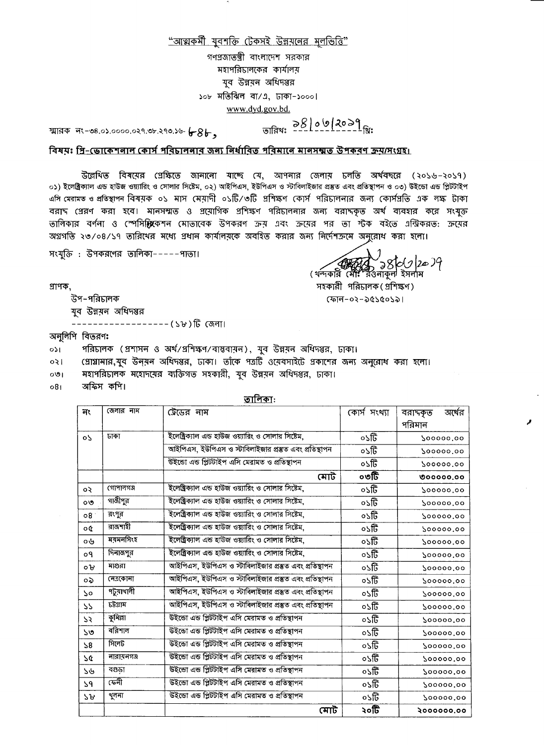

 $\mathcal{A}_{\mathcal{A}}$ 

উল্লেথিত বিষয়ের গ্রেক্ষিতে জানানো যাচ্ছে যে, আপনার জেলায় চলতি অর্থবচ্বরে (২০১৬–২০১৭) ০১) ইলেক্ট্রিক্যাল এন্ড হাউজ ওয়্যারিং ও সোলার সিষ্টেম, ০২) আইপিএস, ইউপিএস ও স্টাবিলাইজার প্রস্তুত এবং প্রতিস্থাপন ও ০৩) উইন্ডো এন্ড প্লিটটাইপ

এসি মেরামত ও প্রতিস্থাপন বিষয়ক ০১ মাস মেয়াদী ০১টি/৩টি প্রশিক্ষণ কোর্স পরিচালনার জন্য কোর্সপ্রতি এক লক্ষ টাকা বরাদ প্রেরণ করা হবে। মানসম্মত ও প্রয়োগিক প্রশিক্ষণ পরিচালনার জন্য বরাদকৃত অর্থ ব্যবহার করে সংযুক্ত তালিকার বর্ণনা ও স্পেসি**গ্যি**কেশন মোতাবেক উপকরণ ক্রম এবং ক্রমের পর তা শ্টক বইতে এন্ট্রিকরত: ক্রমের অগ্রগতি ২৩/০৪/১৭ তারিথের মধ্যে প্রধান কার্যালয়কে অবহিত করার জন্য নির্দেশক্রমে অনুরোধ করা হলো।

( থন্দর্যর বিধান) স্বার্থ (20)9<br>( থন্দর্যর মো: রওনাকুল ইসলাম

সহকারী পরিচালক (প্রশিক্ষণ)

 $(301 - 03 - 065005)$ 

সংযুক্তি : উপকরণের তালিকা-----পাতা।

প্ৰাপক,

উপ–পরিচালক

যুব উন্নয়ন অধিদপ্তর

––––––––––––––––– (১৮)টি জেলা।

অনুলিপি বিতরণ:

- পরিচালক (প্রশাসন ও অর্থ/প্রশিক্ষণ/বাস্তবায়ন), যুব উন্নয়ন অধিদপ্তর, ঢাকা।  $0<sup>2</sup>$
- প্রোগ্রামার,যুব উন্মন অধিদপ্তর, ঢাকা। তাঁকে পত্রটি ওমেবসাইটে প্রকাশের জন্য অনুরোধ করা হলো।  $|50$
- মহাপরিচালক মহোদমের ব্যক্তিগত সহকারী, যুব উন্নয়ন অধিদপ্তর, ঢাকা।  $O(9)$

অফিস কপি।  $08<sub>1</sub>$ 

<u>তালিকা:</u>

| নং              | জেলার নাম         | <i>উে</i> ডের নাম                                      | কোস সংখ্যা  | অখের<br>বরাদকৃত |
|-----------------|-------------------|--------------------------------------------------------|-------------|-----------------|
|                 |                   |                                                        |             | পরিমান          |
| $\circ$         | ঢাকা              | ইলেক্ট্রিক্যাল এন্ড হাউজ ওয়্যারিং ও সোলার সিষ্টেম,    | ০১টি        | 900000.00       |
|                 |                   | আইপিএস, ইউপিএস ও স্টাবিলাইজার প্রম্ভুত এবং প্রতিস্থাপন | $\circ$ ১টি | 200000.00       |
|                 |                   | উইন্ডো এন্ড প্লিটটাইপ এসি মেরামত ও প্রতিস্থাপন         | ০১টি        | 200000.00       |
|                 |                   | মোট                                                    | ০৩টি        | 000000,00       |
| $\circ$         | গোপানগঞ্জ         | ইলেক্ট্রিক্যাল এন্ড হাউজ ওয়্যারিং ও সোলার সিষ্টেম,    | ০১টি        | 900000.00       |
| O <sub>O</sub>  | গাজীপুর           | ইলেক্ট্রিক্যাল এন্ড হাউজ ওয়্যারিং ও সোলার সিষ্টেম,    | $\circ$ ऽটি | 200000.00       |
| 08 <sub>o</sub> | রংপুর             | ইলেষ্ট্রিক্যাল এন্ড হাউজ ওয়্যারিং ও সোলার সিষ্টেম,    | ০১টি        | 900000.00       |
| $\mathfrak{d}$  | রাজশাইী           | ইলেক্ট্রিক্যাল এন্ড হাউজ ওয়্যারিং ও সোলার সিষ্টেম,    | ০১টি        | 200000.00       |
| ০৬              | ময়মনসিংহ         | ইলেক্ট্রিক্যাল এন্ড হাউজ ওয়্যারিং ও সোলার সিষ্টেম,    | ০১টি        | 200000.00       |
| O <sub>9</sub>  | দিনাজপুর          | ইলেক্ট্রিক্যাল এন্ড হাউজ ওয়্যারিং ও সোলার সিষ্টেম,    | ০১টি        | 200000.00       |
| $\circ$ $B$     | মাগুরা            | আইপিএস, ইউপিএস ও স্টাবিলাইজার প্রম্ভুত এবং প্রতিস্থাপন | ০১টি        | 900000.00       |
| $\mathbf{Q}$    | নেত্ৰকোনা         | আইপিএস, ইউপিএস ও স্টাবিলাইজার প্রম্ভুত এবং প্রতিস্থাপন | ০১টি        | 200000.00       |
| २०              | <u>পটুয়াথালী</u> | আইপিএস, ইউপিএস ও স্টাবিলাইজার প্রস্তুত এবং প্রতিস্থাপন | ০১টি        | 200000.00       |
| 55              | চউগ্ৰাম           | আইপিএস, ইউপিএস ও স্টাবিলাইজার প্রম্ভুত এবং প্রতিস্থাপন | ০১টি        | 200000.00       |
| 53              | কুমিল্লা          | উইন্ডো এন্ড প্লিটটাইপ এসি মেরামত ও প্রতিস্থাপন         | ০১টি        | 200000.00       |
| $50^{\circ}$    | বরিশাল            | উইন্ডো এন্ড প্লিটটাইপ এসি মেরামত ও প্রতিস্থাপন         | ০১টি        | 200000.00       |
| 58              | সিলেট             | উইন্ডো এন্ড প্লিটটাইপ এসি মেরামত ও প্রতিস্থাপন         | ০১টি        | 200000.00       |
| 79              | নারামনগঞ্জ        | উইন্ডো এন্ড প্লিটটাইপ এসি মেরামত ও প্রতিস্থাপন         | ০১টি        | 200000.00       |
| ১৬              | বগুড়া            | উইন্ডো এন্ড প্লিটটাইপ এসি মেরামত ও প্রতিস্থাপন         | ০১টি        | 200000.00       |
| $\mathcal{S}^q$ | কেনী              | উইভো এন্ড প্লিটটাইপ এসি মেরামত ও প্রতিস্থাপন           | ০১টি        | 200000.00       |
| ১৮              | থুলনা             | উইভো এন্ড প্লিটটাইপ এসি মেরামত ও প্রতিস্থাপন           | ০১টি        | 200000.00       |
|                 |                   | মোট                                                    | ২০টি        | 2000000.00      |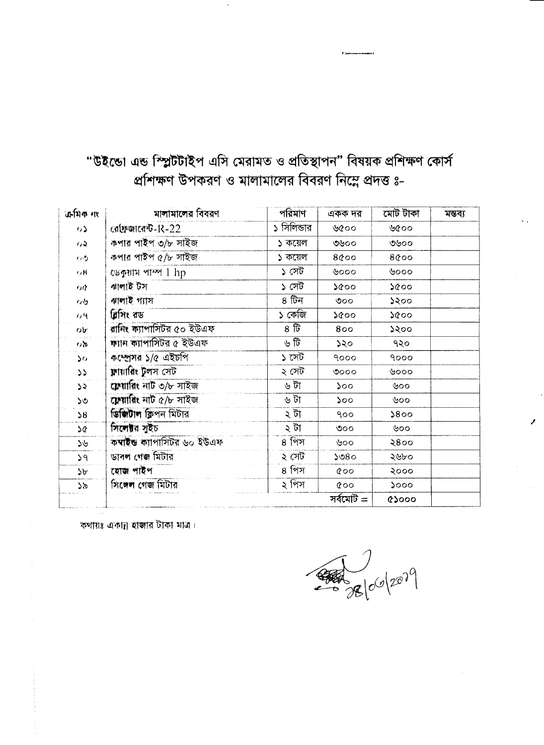"উইন্ডো এন্ড স্প্লিটটাইপ এসি মেরামত ও প্রতিস্থাপন" বিষয়ক প্রশিক্ষণ কোর্স প্রশিক্ষণ উপকরণ ও মালামালের বিবরণ নিম্নে প্রদত্ত ৪-

 $\sim 10^{-11}$ 

| अभिक गए        | মালামালের বিবরণ            | পরিমাণ              | একক দর                  | মোট টাকা | মন্তব্য |
|----------------|----------------------------|---------------------|-------------------------|----------|---------|
| $\circ$        | রোফজারেন্ট- $R-22$         | ১ সিলিভার           | ৬৫০০                    | ৬৫০০     |         |
| $\omega$       | কপার পাইপ ৩/৮ সাইজ         | ১ কয়েল             | ৩৬০০                    | ৩৬০০     |         |
| 心想             | কপার পাইপ ৫/৮ সাইজ         | ১ কয়েল             | 8@00                    | 8@00     |         |
| $\alpha$ B     | $C\&\Phi$ शाम পাম্প 1 hp   | ১ সেট               | ৬০০০                    | ৬০০০     |         |
| $\alpha q$     | ৰাালাই টস                  | ১ সেট               | 5000                    | 5000     |         |
| $Q\mathcal{Q}$ | ৰালাই গ্যাস                | $8\overline{)}$ টিন | $\mathcal{O}^{\bullet}$ | ১২০০     |         |
| O <sup>4</sup> | ৱিসিং রড                   | ১ কেজি              | ১৫০০                    | 5000     |         |
| $\mathbf{Q}$   | রানিং ক্যাপাসিটর ৫০ ইউএফ   | $8\,$ টি            | 800                     | २२००     |         |
| $\sigma$       | ক্যাদ ক্যাপাসিটর ৫ ইউএফ    | ৬ টি                | 550                     | 950      |         |
| ১০             | কম্প্ৰেসর ১/৫ এইচপি        | ১ সেট               | 9000                    | 9000     |         |
| 22             | ফায়ারিং টলস সেট           | ২ সেট।              | 0000                    | ৬০০০     |         |
| 55             | ফেয়ারিং নাট ৩/৮ সাইজ      | ৬ টা                | 500                     | ৬০০      |         |
| ১৩             | সেয়াৰিং নাট ৫/৮ সাইজ      | ৬ টা                | ১০০                     | ৬০০      |         |
| $\mathcal{S}$  | জিজিটাল ক্লিপন মিটার       | ১ টা                | 900                     | 5800     |         |
| $\mathfrak{d}$ | সিলেষ্টার সৃইচ             | ২ টা                | <u>ଏ୦୦</u>              | ৬০০      |         |
| ১৬             | কম্বাইড ক্যাপাসিটর ৬০ ইউএফ | $81$ প্রস           | ৬০০                     | 2800     |         |
| 59             | 'ডাৰল গেজ মিটার            | ২ সেট               | 5080                    | ২৬৮০     |         |
| ১৮             | হোজ পাইপ                   | ৪ পিস               | $\&$ 00                 | २०००     |         |
| 58             | গিলেল গেজ মিটার            | ৰিস                 | $\infty$                | 5000     |         |
|                |                            |                     |                         |          |         |

 $\sim 8$ 

 $\sim 10^{11}$  m  $^{-1}$ 

 $\sim 10^{-1}$ 

কথায়ঃ একাঢ়া হাজার টাকা মাত্র।



**、 (2) 自己的一个人的复数形式 医大脑性贫血病 医心包** 

 $\mathcal{A}_{\mathcal{F}}=\mathcal{A}_{\mathcal{F}}$ 

and the state of

 $\mathcal{L}_{\text{max}}$  and  $\mathcal{L}_{\text{max}}$ 

and the state of

 $\sim 200$ 

 $\sim 10^{-11}$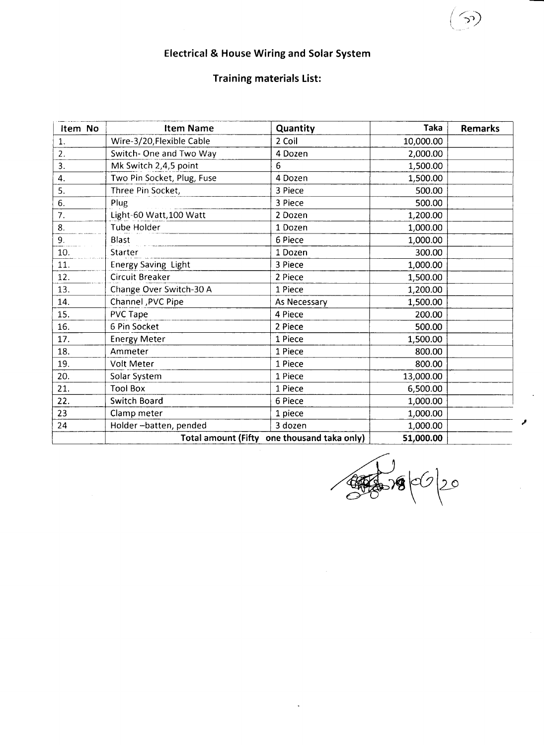

 $\bullet$  .

 $\sim$ 

# **Electrical & House Wiring and Solar System**

the contract of the contract of the contract of the contract of the contract of

**Training materials List:** 

| Item No | <b>Item Name</b>           | Quantity                                    | Taka      | <b>Remarks</b> |
|---------|----------------------------|---------------------------------------------|-----------|----------------|
|         | Wire-3/20, Flexible Cable  | 2 Coil                                      | 10,000.00 |                |
|         | Switch-One and Two Way     | 4 Dozen                                     | 2,000.00  |                |
| 3.      | Mk Switch 2,4,5 point      | O                                           | 1,500.00  |                |
|         | Two Pin Socket, Plug, Fuse | 4 Dozen                                     | 1,500.00  |                |
|         | Three Pin Socket,          | 3 Piece                                     | 500.00    |                |
| 6.      | Plug                       | 3 Piece                                     | 500.00    |                |
|         | Light-60 Watt, 100 Watt    | 2 Dozen                                     | 1,200.00  |                |
| -8.     | Tube Holder                | 1 Dozen                                     | 1,000.00  |                |
|         | <b>Blast</b>               | 6 Piece                                     | 1,000.00  |                |
| 10.     | <b>Starter</b>             | 1 Dozen                                     | 300.00    |                |
| 11.     | <b>Energy Saving Light</b> | 3 Piece                                     | 1,000.00  |                |
| 12.     | <b>Circuit Breaker</b>     | 2 Piece                                     | 1,500.00  |                |
| 13.     | Change Over Switch-30 A    | 1 Piece                                     | 1,200.00  |                |
| 14.     | Channel, PVC Pipe          | As Necessary                                | 1,500.00  |                |
| 15.     | <b>PVC Tape</b>            | 4 Piece                                     | 200.00    |                |
| 16.     | 6 Pin Socket               | 2 Piece                                     | 500.00    |                |
| 17.     | <b>Energy Meter</b>        | 1 Piece                                     | 1,500.00  |                |
| 18.     | Ammeter                    | 1 Piece                                     | 800.00    |                |
| 19.     | <b>Volt Meter</b>          | 1 Piece                                     | 800.00    |                |
| 20.     | Solar System               | 1 Piece                                     | 13,000.00 |                |
| 21.     | <b>Tool Box</b>            | 1 Piece                                     | 6,500.00  |                |
| 22.     | <b>Switch Board</b>        | 6 Piece                                     | 1,000.00  |                |
| 23      | Clamp meter                | 1 piece                                     | 1,000.00  |                |
| 24      | Holder-batten, pended      | 3 dozen                                     | 1,000.00  |                |
|         |                            | Total amount (Fifty one thousand taka only) | 51,000.00 |                |



 $\blacksquare$ 

 $\sim 10^{-11}$ 

 $\sim 10^{-1}$ 

 $\sim 100$  km s  $^{-1}$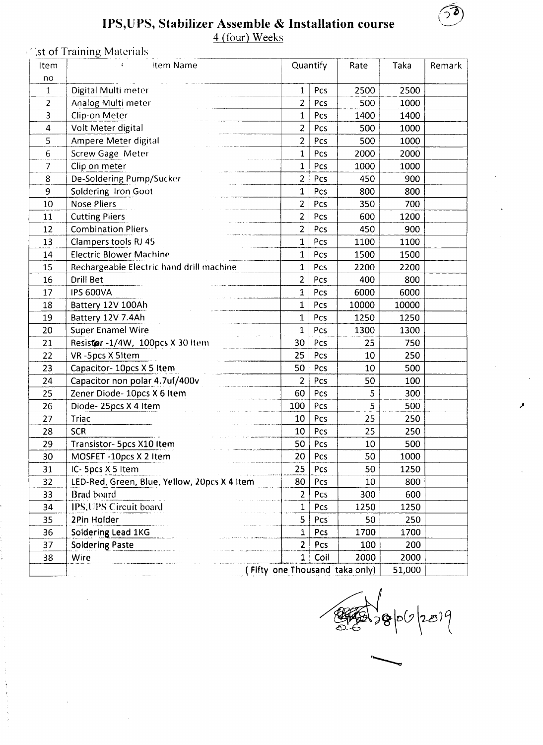

 $\sim 10^{-11}$ 

 $\mathbf{v}$ 

 $\mathcal{L}(\mathcal{L})$  and  $\mathcal{L}(\mathcal{L})$  and  $\mathcal{L}(\mathcal{L})$ 

 $\bullet$  .

# IPS, UPS, Stabilizer Assemble & Installation course

4 (four) Weeks

St of Training Materials

| Item           | Item Name                                                                                     | <b>Quantify</b> |            | Rate                           | Taka   | Remark |
|----------------|-----------------------------------------------------------------------------------------------|-----------------|------------|--------------------------------|--------|--------|
| no             |                                                                                               |                 |            |                                |        |        |
|                | Digital Multi meter                                                                           |                 | Pcs        | 2500                           | 2500   |        |
|                | Analog Multi meter                                                                            |                 | <b>Pcs</b> | 500                            | 1000   |        |
|                | <b>Clip-on Meter</b>                                                                          |                 | Pcs        | 1400                           | 1400   |        |
| $\overline{4}$ | Volt Meter digital                                                                            |                 | Pcs        | 500                            | 1000   |        |
|                | Ampere Meter digital                                                                          |                 | Pcs        | 500                            | 1000   |        |
| O.             | <b>Screw Gage Meter</b>                                                                       |                 | Pcs        | 2000                           | 2000   |        |
|                | Clip on meter                                                                                 |                 | <b>Pcs</b> | 1000                           | 1000   |        |
| 8 <sup>8</sup> | De-Soldering Pump/Sucker                                                                      |                 | <b>Pcs</b> | 450                            | 900    |        |
| 9              | Soldering Iron Goot                                                                           |                 | <b>Pcs</b> | 800                            | 800    |        |
| 10             | <b>Nose Pliers</b>                                                                            |                 | Pcs        | 350                            | 700    |        |
| 11             | <b>Cutting Pliers</b>                                                                         |                 | Pcs        | 600                            | 1200   |        |
| 12             | <b>Combination Pliers</b>                                                                     |                 | Pcs        | 450                            | 900    |        |
| 13             | Clampers tools RJ 45                                                                          |                 | Pcs        | 1100                           | 1100   |        |
| 14             | Electric Blower Machine                                                                       |                 | <b>Pcs</b> | 1500                           | 1500   |        |
| 15             | Rechargeable Electric hand drill machine                                                      |                 | <b>Pcs</b> | 2200                           | 2200   |        |
| 16             | Drill Bet                                                                                     |                 | <b>Pcs</b> | 400                            | 800    |        |
| 17             | <b>IPS 600VA</b>                                                                              |                 | Pcs        | 6000                           | 6000   |        |
| 18             | Battery 12V 100Ah                                                                             |                 | <b>Pcs</b> | 10000                          | 10000  |        |
| 19             | Battery 12V 7.4Ah                                                                             |                 | <b>Pcs</b> | 1250                           | 1250   |        |
| 20             | <b>Super Enamel Wire</b>                                                                      |                 | Pcs        | 1300                           | 1300   |        |
| 21             | Resister-1/4W, 100pcs X 30 Item                                                               | 30 <sup>1</sup> | Pcs        | 25                             | 750    |        |
| 22             | VR-5pcs X 5Item                                                                               | 25              | <b>Pcs</b> | 10                             | 250    |        |
| 23             | Capacitor- 10pcs X 5 Item                                                                     | 50              | <b>Pcs</b> | 10                             | 500    |        |
| 24             | Capacitor non polar 4.7uf/400v                                                                |                 | Pcs        | 50                             | 100    |        |
| 25             | Zener Diode- 10pcs X 6 Item                                                                   | 60              | Pcs        |                                | 300    |        |
| 26             | Diode-25pcs X 4 Item                                                                          | 100             | Pcs        |                                | 500    |        |
| 27             | Triac                                                                                         | 10              | Pcs        | 25                             | 250    |        |
| 28             | <b>SCR</b>                                                                                    | 10              | Pcs        | 25                             | 250    |        |
| 29             | Transistor- 5pcs X10 Item                                                                     | 50              | Pcs        | 10                             | 500    |        |
| 30             | MOSFET-10pcs X 2 Item                                                                         | 20              | <b>Pcs</b> | 50                             | 1000   |        |
| 31             | IC- Spcs X 5 Item                                                                             | 25              | <b>Pcs</b> | 50                             | 1250   |        |
| 32             | LED-Red, Green, Blue, Yellow, 20pcs X 4 Item                                                  | 80              | Pcs        | 10                             | 800    |        |
| 33             | Brad board                                                                                    |                 | Pcs        | 300                            | 600    |        |
| 34             | IPS, UPS Circuit board                                                                        |                 | Pcs        | 1250                           | 1250   |        |
| 35             | 2Pin Holder                                                                                   |                 | PCS        | 50                             | 250    |        |
| 36             | Soldering Lead 1KG                                                                            |                 | Pcs        | 1700                           | 1700   |        |
| 37             | <b>Soldering Paste</b>                                                                        |                 | <b>PCS</b> | 100                            | 200    |        |
| 38             | المراجع المستقصيات والمركوب الأراج وتتفقع الحاجر فالمراجع والمراجع والسنادي والمتوارث<br>Wire |                 | Coil       | 2000                           | 2000   |        |
|                |                                                                                               |                 |            | (Fifty one Thousand taka only) | 51,000 |        |

 $\frac{1}{26}$ 

المحتاسا والواردي والمتهارين

المراد والمتقومات ومصاصر المواريح المماري

ما<mark>ید ماهد میکنید و به مواد به اینکه با به اینکه</mark> در این اینکه به اینکه به اینکه به مواد به مواد به مواد به این<br>اینکه اینکه با اینکه به اینکه با اینکه با اینکه با اینکه به اینکه به اینکه به این اینکه با این اینکه به این ا

 $\sim 100$ 

and the state of the components of the

 $\mathcal{A}$ 

 $\frac{1}{3}$ 

 $\frac{\Delta}{\Delta}$ 

 $\frac{1}{3}$ 

 $\sim 10^{-5}$ 

 $\langle \rangle$  $\sim 10$ 

 $\blacksquare$ 

**Contract Contract** 

 $\sim 100$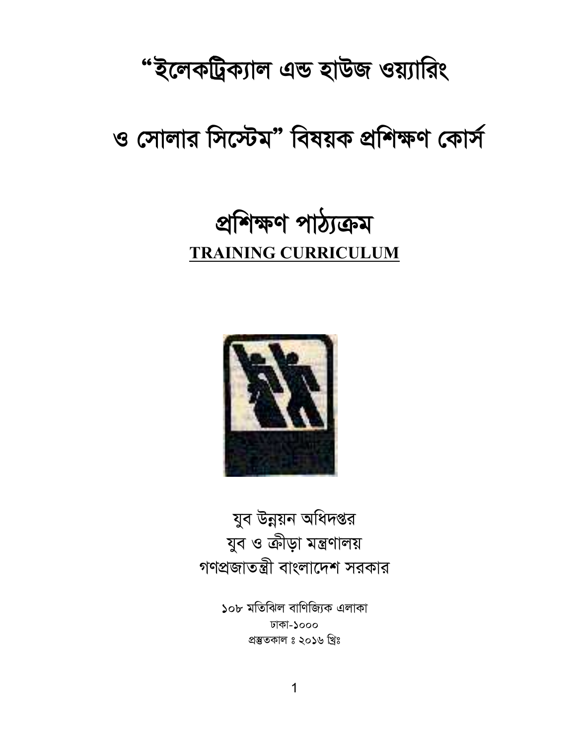#### 1

১০৮ মতিঝিল বাণিজ্যিক এলাকা

ঢাকা-১০০০ প্ৰস্তুতকাল ঃ ২০১৬ খ্ৰিঃ

যুব উন্নয়ন অধিদপ্তর যুব ও ক্রীড়া মন্ত্রণালয় গণপ্রজাতন্ত্রী বাংলাদেশ সরকার



## প্ৰশিক্ষণ পাঠ্যক্ৰম **TRAINING CURRICULUM**

## ও সোলার সিস্টেম" বিষয়ক প্রশিক্ষণ কোর্স

"ইলেকট্রিক্যাল এন্ড হাউজ ওয়্যারিং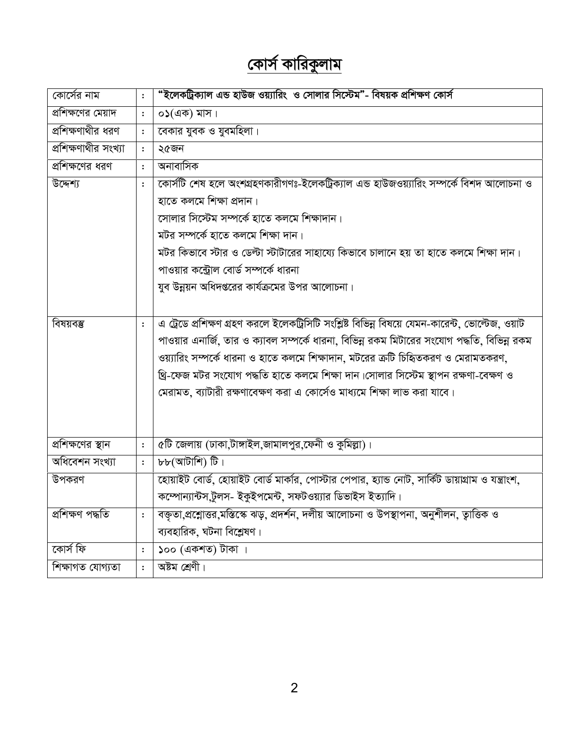## <u>কোর্স কারিকুলাম</u>

| কোর্সের নাম          | $\mathbf{.}$   | "ইলেকট্রিক্যাল এন্ড হাউজ ওয়্যারিং ও সোলার সিস্টেম"- বিষয়ক প্রশিক্ষণ কোর্স                       |
|----------------------|----------------|---------------------------------------------------------------------------------------------------|
| প্রশিক্ষণের মেয়াদ   | $\ddot{\cdot}$ | $\circ$ ১(এক) মাস।                                                                                |
| প্রশিক্ষণাথীর ধরণ    | $\colon$       | বেকার যুবক ও যুবমহিলা।                                                                            |
| প্রশিক্ষণাথীর সংখ্যা | $\colon$       | ২৫জন                                                                                              |
| প্রশিক্ষণের ধরণ      | $\cdot$        | অনাবাসিক                                                                                          |
| উদ্দেশ্য             | $\ddot{\cdot}$ | কোর্সটি শেষ হলে অংশগ্রহণকারীগণঃ-ইলেকট্রিক্যাল এন্ড হাউজওয়্যারিং সম্পর্কে বিশদ আলোচনা ও           |
|                      |                | হাতে কলমে শিক্ষা প্ৰদান।                                                                          |
|                      |                | সোলার সিস্টেম সম্পর্কে হাতে কলমে শিক্ষাদান।                                                       |
|                      |                | মটর সম্পর্কে হাতে কলমে শিক্ষা দান।                                                                |
|                      |                | মটর কিভাবে স্টার ও ডেল্টা স্টাটারের সাহায্যে কিভাবে চালানে হয় তা হাতে কলমে শিক্ষা দান।           |
|                      |                | পাওয়ার কন্ট্রোল বোর্ড সম্পর্কে ধারনা                                                             |
|                      |                | যুব উন্নয়ন অধিদপ্তরের কার্যক্রমের উপর আলোচনা।                                                    |
|                      |                |                                                                                                   |
| বিষয়বম্ভ            | $\ddot{\cdot}$ | এ ট্রেডে প্রশিক্ষণ গ্রহণ করলে ইলেকট্রিসিটি সংশ্লিষ্ট বিভিন্ন বিষয়ে যেমন-কারেন্ট, ভোল্টেজ, ওয়াট  |
|                      |                | পাওয়ার এনার্জি, তার ও ক্যাবল সম্পর্কে ধারনা, বিভিন্ন রকম মিটারের সংযোগ পদ্ধতি, বিভিন্ন রকম       |
|                      |                | ওয়্যারিং সম্পর্কে ধারনা ও হাতে কলমে শিক্ষাদান, মটরের ক্রটি চিহ্নিতকরণ ও মেরামতকরণ,               |
|                      |                | থ্রি-ফেজ মটর সংযোগ পদ্ধতি হাতে কলমে শিক্ষা দান।সোলার সিস্টেম স্থাপন রক্ষণা-বেক্ষণ ও               |
|                      |                | মেরামত, ব্যাটারী রক্ষণাবেক্ষণ করা এ কোর্সেও মাধ্যমে শিক্ষা লাভ করা যাবে।                          |
|                      |                |                                                                                                   |
|                      |                |                                                                                                   |
| প্রশিক্ষণের স্থান    | $\ddot{\cdot}$ | ৫টি জেলায় (ঢাকা,টাঙ্গাইল,জামালপুর,ফেনী ও কুমিল্লা)।                                              |
| অধিবেশন সংখ্যা       | $\colon$       | ৮৮(আটাশি) টি।                                                                                     |
| উপকরণ                |                | হোয়াইট বোর্ড, হোয়াইট বোর্ড মার্কার, পোস্টার পেপার, হ্যান্ড নোট, সার্কিট ডায়াগ্রাম ও যন্ত্রাংশ, |
|                      |                | কম্পোন্যান্টস,টুলস- ইকুইপমেন্ট, সফটওয়্যার ডিভাইস ইত্যাদি।                                        |
| প্ৰশিক্ষণ পদ্ধতি     | :              | বক্তৃতা,প্রশ্নোত্তর,মস্তিস্কে ঝড়, প্রদর্শন, দলীয় আলোচনা ও উপস্থাপনা, অনুশীলন, ত্বাত্তিক ও       |
|                      |                | ব্যবহারিক, ঘটনা বিশ্লেষণ।                                                                         |
| কোৰ্স ফি             | :              | ১০০ (একশত) টাকা ।                                                                                 |
| শিক্ষাগত যোগ্যতা     | $\ddot{\cdot}$ | অষ্টম শ্ৰেণী।                                                                                     |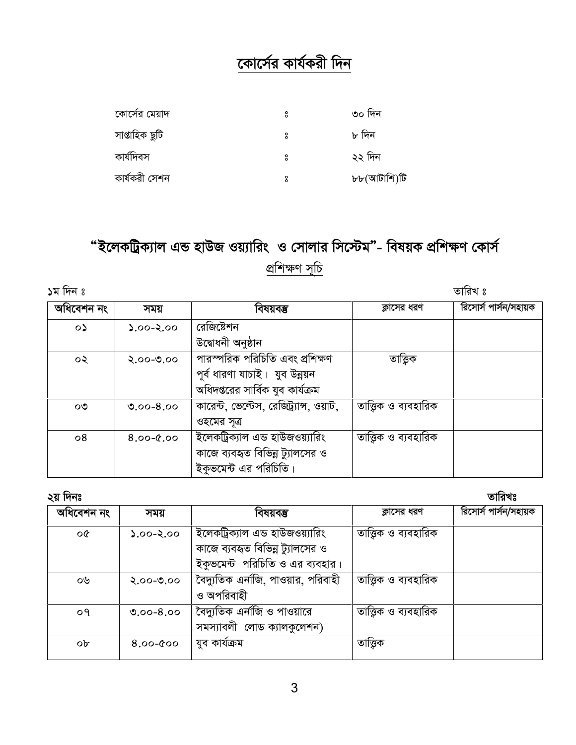#### <u>কোর্সের কার্যকরী দিন</u>

| কোর্সের মেয়াদ | ° | ৩০ দিন      |
|----------------|---|-------------|
| সাপ্তাহিক ছুটি | ů | ৮ দিন       |
| কাৰ্যদিবস      | ů | ২২ দিন      |
| কাৰ্যকরী সেশন  | ů | ৮৮(আটাশি)টি |

### "ইলেকট্রিক্যাল এন্ড হাউজ ওয়্যারিং ও সোলার সিস্টেম"- বিষয়ক প্রশিক্ষণ কোর্স প্ৰশিক্ষণ সূচি

১ম দিন ঃ

তারিখ ঃ

| অধিবেশন নং | সময়          | বিষয়বম্ভ                               | ক্লাসের ধরণ         | রিসোর্স পার্সন/সহায়ক |
|------------|---------------|-----------------------------------------|---------------------|-----------------------|
| $\circ$    | $2.00 - 2.00$ | রেজিষ্টেশন                              |                     |                       |
|            |               | উদ্বোধনী অনুষ্ঠান                       |                     |                       |
| ০২         | $2.00 - 0.00$ | সারস্পরিক পরিচিতি এবং প্রশিক্ষণ         | তাত্তিক             |                       |
|            |               | পূর্ব ধারণা যাচাই। যুব উন্নয়ন          |                     |                       |
|            |               | অধিদপ্তরের সার্বিক যুব কার্যক্রম        |                     |                       |
| ೦೨         | $0.00 - 8.00$ | কারেন্ট, ভেল্টেস, রেজিট্র্যান্স, ওয়াট, | তাত্তিক ও ব্যবহারিক |                       |
|            |               | ওহমের সূত্র                             |                     |                       |
| $\circ 8$  | $8.00 - 0.00$ | ইলেকট্রিক্যাল এন্ড হাউজওয়্যারিং        | তাত্তিক ও ব্যবহারিক |                       |
|            |               | কাজে ব্যবহৃত বিভিন্ন ট্যালসের ও         |                     |                       |
|            |               | ইকুভমেন্ট এর পরিচিতি।                   |                     |                       |

| ২য় দিনঃ       |               |                                                                     |                       | তারিখঃ                |
|----------------|---------------|---------------------------------------------------------------------|-----------------------|-----------------------|
| অধিবেশন নং     | সময়          | বিষয়বম্ভ                                                           | ক্লাসের ধরণ           | রিসোর্স পার্সন/সহায়ক |
| ০৫             | $0.90 - 2.00$ | ইলেকট্রিক্যাল এন্ড হাউজওয়্যারিং<br>কাজে ব্যবহৃত বিভিন্ন ট্যালসের ও | তাত্তিক ও ব্যবহারিক   |                       |
|                |               | ইকুভমেন্ট পরিচিতি ও এর ব্যবহার।                                     |                       |                       |
| ০৬             | $2.00 - 0.00$ | বৈদ্যুতিক এনজি, পাওয়ার, পরিবাহী<br>ও অপরিবাহী                      | তাত্ত্বিক ও ব্যবহারিক |                       |
| O <sub>9</sub> | $0.00 - 8.00$ | বৈদ্যুতিক এনাজি ও পাওয়ারে<br>সমস্যাবলী লোড ক্যালকুলেশন)            | তাত্ত্বিক ও ব্যবহারিক |                       |
| ob             | $8.00 - 000$  | যুব কাৰ্যক্ৰম                                                       | তাত্তিক               |                       |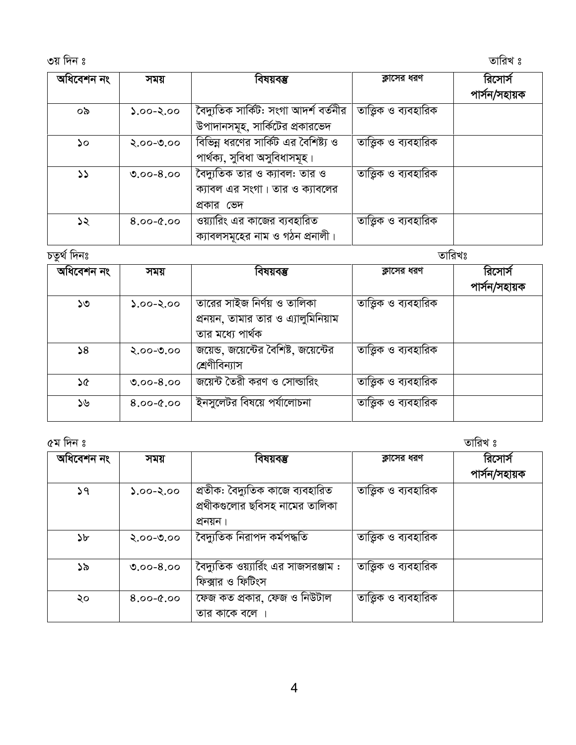3q w`b t ZvwiL t

| অধিবেশন নং | সময়          | বিষয়বম্ভ                                                                     | ক্লাসের ধরণ           | রিসোর্স<br>পাৰ্সন/সহায়ক |
|------------|---------------|-------------------------------------------------------------------------------|-----------------------|--------------------------|
| ০৯         | $0.00 - 2.00$ | বৈদ্যুতিক সার্কিট: সংগা আদর্শ বর্তনীর<br>উপাদানসমূহ, সার্কিটের প্রকারভেদ      | তাত্ত্বিক ও ব্যবহারিক |                          |
| ১০         | $2.00 - 0.00$ | বিভিন্ন ধরণের সার্কিট এর বৈশিষ্ট্য ও<br>পাৰ্থক্য, সুবিধা অসুবিধাসমূহ।         | তাত্তিক ও ব্যবহারিক   |                          |
| 55         | $0.00 - 8.00$ | বৈদ্যুতিক তার ও ক্যাবল: তার ও<br>ক্যাবল এর সংগা। তার ও ক্যাবলের<br>প্রকার ভেদ | তাত্তিক ও ব্যবহারিক   |                          |
| ১২         | $8.00 - 0.00$ | ওয়্যারিং এর কাজের ব্যবহারিত<br>ক্যাবলসমূহের নাম ও গঠন প্রনালী।               | তাত্তিক ও ব্যবহারিক   |                          |

| চতুৰ্থ দিনঃ |               |                                                                                        | তারিখঃ                |                          |
|-------------|---------------|----------------------------------------------------------------------------------------|-----------------------|--------------------------|
| অধিবেশন নং  | সময়          | বিষয়বম্ভ                                                                              | ক্লাসের ধরণ           | রিসোর্স<br>পাৰ্সন/সহায়ক |
| ১৩          | $0.90 - 2.00$ | তারের সাইজ নির্ণয় ও তালিকা<br>প্রনয়ন, তামার তার ও এ্যালুমিনিয়াম<br>তার মধ্যে পার্থক | তাত্ত্বিক ও ব্যবহারিক |                          |
| 58          | $2.00 - 0.00$ | জয়েন্ড, জয়েন্টের বৈশিষ্ট, জয়েন্টের<br>শ্ৰেণীবিন্যাস                                 | তাত্ত্বিক ও ব্যবহারিক |                          |
| ১৫          | $0.00 - 8.00$ | জয়েন্ট তৈরী করণ ও সোল্ডারিং                                                           | তাত্ত্বিক ও ব্যবহারিক |                          |
| ১৬          | $8.00 - 0.00$ | ইনসুলেটর বিষয়ে পর্যালোচনা                                                             | তাত্ত্বিক ও ব্যবহারিক |                          |

| অধিবেশন নং | সময়          | বিষয়বম্ভ                                                                      | ক্লাসের ধরণ           | রিসোর্স<br>পাৰ্সন/সহায়ক |
|------------|---------------|--------------------------------------------------------------------------------|-----------------------|--------------------------|
| 59         | $0.90 - 2.00$ | প্রতীক: বৈদ্যুতিক কাজে ব্যবহারিত<br>প্রথীকগুলোর ছবিসহ নামের তালিকা<br>প্ৰনয়ন। | তাত্ত্বিক ও ব্যবহারিক |                          |
| ১৮         | $2.00 - 0.00$ | বৈদ্যুতিক নিরাপদ কর্মপদ্ধতি                                                    | তাত্ত্বিক ও ব্যবহারিক |                          |
| ১৯         | $0.00 - 8.00$ | বৈদ্যুতিক ওয়্যার্রিং এর সাজসরঞ্জাম :<br>ফিক্সার ও ফিটিংস                      | তাত্ত্বিক ও ব্যবহারিক |                          |
| ২০         | $0.9 - 0.8$   | ফেজ কত প্রকার, ফেজ ও নিউটাল<br>তার কাকে বলে                                    | তাত্ত্বিক ও ব্যবহারিক |                          |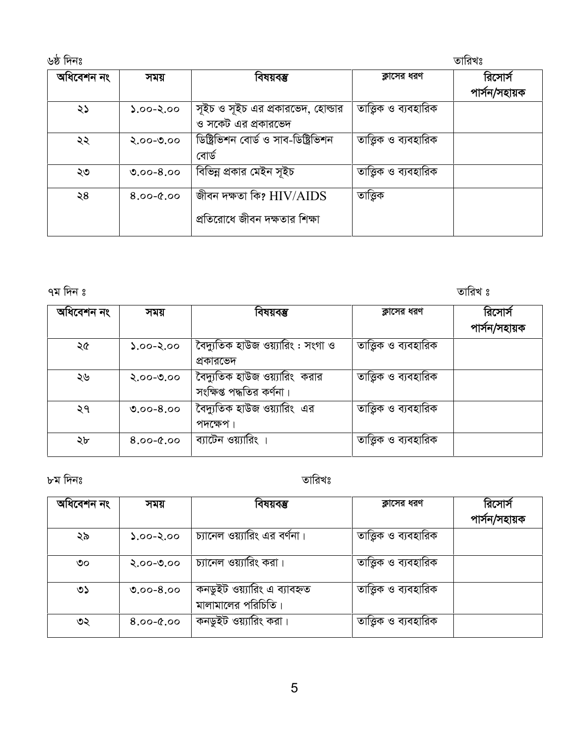| ৬ষ্ঠ দিনঃ  |               |                                                           |                       | তারিখঃ                   |
|------------|---------------|-----------------------------------------------------------|-----------------------|--------------------------|
| অধিবেশন নং | সময়          | বিষয়বম্ভ                                                 | ক্লাসের ধরণ           | রিসোর্স<br>পাৰ্সন/সহায়ক |
| ২১         | $0.00 - 2.00$ | সূইচ ও সূইচ এর প্রকারভেদ, হোল্ডার<br>ও সকেট এর প্রকারভেদ  | তাত্ত্বিক ও ব্যবহারিক |                          |
| ২২         | $2.00 - 0.00$ | ডিষ্ট্রিভিশন বোর্ড ও সাব-ডিষ্ট্রিভিশন<br>বোৰ্ড            | তাত্তিক ও ব্যবহারিক   |                          |
| ২৩         | $0.00 - 8.00$ | বিভিন্ন প্রকার মেইন সূইচ                                  | তাত্তিক ও ব্যবহারিক   |                          |
| ২৪         | $8.00 - 0.00$ | জীবন দক্ষতা কি? HIV/AIDS<br>প্রতিরোধে জীবন দক্ষতার শিক্ষা | তাত্তিক               |                          |

#### তারিখ ঃ

| অধিবেশন নং | সময়          | বিষয়বম্ভ                         | ক্লাসের ধরণ           | রিসোর্স       |
|------------|---------------|-----------------------------------|-----------------------|---------------|
|            |               |                                   |                       | পাৰ্সন/সহায়ক |
| ২৫         | $0.60 - 2.00$ | বৈদ্যুতিক হাউজ ওয়্যারিং : সংগা ও | তাত্ত্বিক ও ব্যবহারিক |               |
|            |               | প্রকারভেদ                         |                       |               |
| ২৬         | $0.00 - 0.00$ | বৈদ্যুতিক হাউজ ওয়্যারিং  করার    | তাত্তিক ও ব্যবহারিক   |               |
|            |               | সংক্ষিপ্ত পদ্ধতির কর্ণনা।         |                       |               |
| ২৭         | $0.00 - 8.00$ | বৈদ্যুতিক হাউজ ওয়্যারিং এর       | তাত্ত্বিক ও ব্যবহারিক |               |
|            |               | পদক্ষেপ।                          |                       |               |
| ২৮         | $8.00 - 0.00$ | ব্যাটেন ওয়্যারিং ।               | তাত্তিক ও ব্যবহারিক   |               |
|            |               |                                   |                       |               |

#### ৮ম দিনঃ

#### তারিখঃ

| অধিবেশন নং | সময়          | বিষয়বম্ভ                                         | ক্লাসের ধরণ           | রিসোর্স       |
|------------|---------------|---------------------------------------------------|-----------------------|---------------|
|            |               |                                                   |                       | পাৰ্সন/সহায়ক |
| ২৯         | $0.60 - 2.00$ | চ্যানেল ওয়্যারিং এর বর্ণনা।                      | তাত্তিক ও ব্যবহারিক   |               |
| ৩০         | $2.00 - 0.00$ | চ্যানেল ওয়্যারিং করা।                            | তাত্ত্বিক ও ব্যবহারিক |               |
| ৩১         | $0.00 - 8.00$ | কনডুইট ওয়্যারিং এ ব্যাবহৃত<br>মালামালের পরিচিতি। | তাত্তিক ও ব্যবহারিক   |               |
| ৩২         | $8.00 - 0.00$ | কনডুইট ওয়্যারিং করা।                             | তাত্ত্বিক ও ব্যবহারিক |               |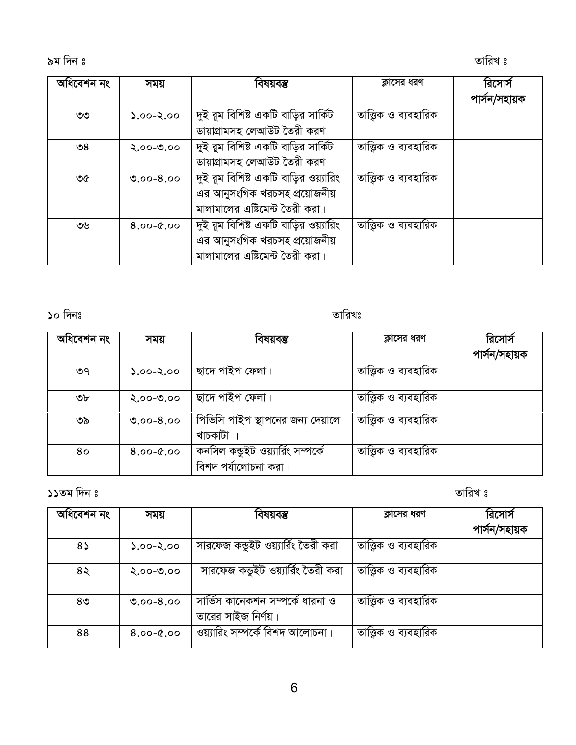9g w`b t ZvwiL t

| অধিবেশন নং    | সময়          | বিষয়বম্ভ                             | ক্লাসের ধরণ           | রিসোর্স       |
|---------------|---------------|---------------------------------------|-----------------------|---------------|
|               |               |                                       |                       | পাৰ্সন/সহায়ক |
| ৩৩            | $0.00 - 2.00$ | দুই রুম বিশিষ্ট একটি বাড়ির সার্কিট   | তাত্ত্বিক ও ব্যবহারিক |               |
|               |               | ডায়াগ্রামসহ লেআউট তৈরী করণ           |                       |               |
| $\mathcal{S}$ | $2.00 - 0.00$ | দুই রুম বিশিষ্ট একটি বাড়ির সার্কিট   | তাত্ত্বিক ও ব্যবহারিক |               |
|               |               | ডায়াগ্রামসহ লেআউট তৈরী করণ           |                       |               |
| ৩৫            | $0.00 - 8.00$ | দুই রুম বিশিষ্ট একটি বাড়ির ওয়্যারিং | তাত্তিক ও ব্যবহারিক   |               |
|               |               | এর আনুসংগিক খরচসহ প্রয়োজনীয়         |                       |               |
|               |               | মালামালের এষ্টিমেন্ট তৈরী করা।        |                       |               |
| ৩৬            | $8.00 - 0.00$ | দুই রুম বিশিষ্ট একটি বাড়ির ওয়্যারিং | তাত্ত্বিক ও ব্যবহারিক |               |
|               |               | এর আনুসংগিক খরচসহ প্রয়োজনীয়         |                       |               |
|               |               | মালামালের এষ্টিমেন্ট তৈরী করা।        |                       |               |

10 w`bt ZvwiLt

| সময়          | বিষয়বম্ভ                         | ক্লাসের ধরণ                     | রিসোর্স<br>পাৰ্সন/সহায়ক |
|---------------|-----------------------------------|---------------------------------|--------------------------|
| $0.60 - 2.00$ | ছাদে পাইপ ফেলা।                   | তাত্ত্বিক ও ব্যবহারিক           |                          |
| $2.00 - 0.00$ | ছাদে পাইপ ফেলা।                   | তাত্ত্বিক ও ব্যবহারিক           |                          |
| $0.00 - 8.00$ | পিভিসি পাইপ স্থাপনের জন্য দেয়ালে | তাত্তিক ও ব্যবহারিক             |                          |
| $8.00 - 0.00$ | কনসিল কভুইট ওয়্যার্রিং সম্পর্কে  | তাত্তিক ও ব্যবহারিক             |                          |
|               |                                   | খাচকাটা<br>বিশদ পর্যালোচনা করা। |                          |

11Zg w`b t ZvwiL t

| অধিবেশন নং     | সময়          | বিষয়বম্ভ                                               | ক্লাসের ধরণ           | রিসোর্স       |
|----------------|---------------|---------------------------------------------------------|-----------------------|---------------|
|                |               |                                                         |                       | পাৰ্সন/সহায়ক |
| $8\lambda$     | $0.00 - 2.00$ | সারফেজ কন্ডুইট ওয়্যার্রিং তৈরী করা                     | তাত্তিক ও ব্যবহারিক   |               |
| 8२             | $2.00 - 0.00$ | সারফেজ কভুইট ওয়্যার্রিং তৈরী করা                       | তাত্ত্বিক ও ব্যবহারিক |               |
| 8 <sub>0</sub> | $0.00 - 8.00$ | সার্ভিস কানেকশন সম্পর্কে ধারনা ও<br>তারের সাইজ নির্ণয়। | তাত্ত্বিক ও ব্যবহারিক |               |
| 88             | $8.00 - 0.00$ | ওয়্যারিং সম্পর্কে বিশদ আলোচনা।                         | তাত্ত্বিক ও ব্যবহারিক |               |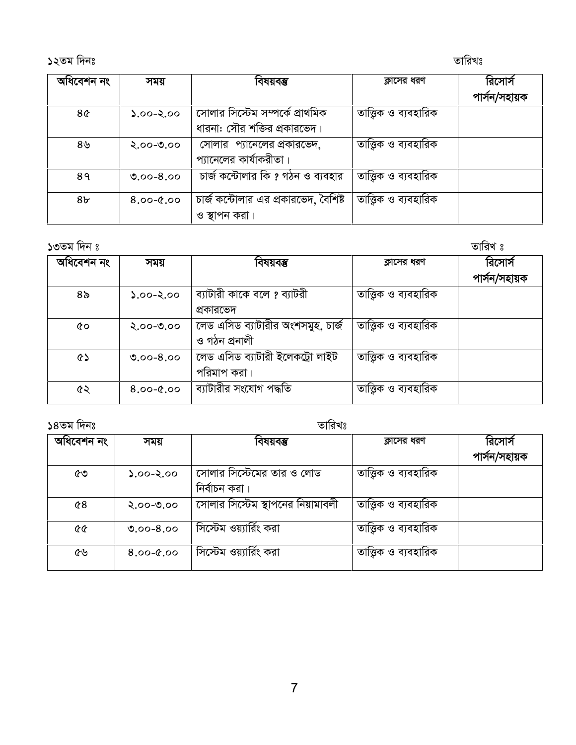| অধিবেশন নং     | সময়          | বিষয়বম্ভ                            | ক্লাসের ধরণ           | রিসোর্স       |
|----------------|---------------|--------------------------------------|-----------------------|---------------|
|                |               |                                      |                       | পাৰ্সন/সহায়ক |
| 8¢             | $0.00 - 2.00$ | সোলার সিস্টেম সম্পর্কে প্রাথমিক      | তাত্ত্বিক ও ব্যবহারিক |               |
|                |               | ধারনা: সৌর শক্তির প্রকারভেদ।         |                       |               |
| ৪৬             | $2.00 - 0.00$ | সোলার প্যানেলের প্রকারভেদ,           | তাত্তিক ও ব্যবহারিক   |               |
|                |               | প্যানেলের কার্যাকরীতা।               |                       |               |
| 89             | $0.00 - 8.00$ | চার্জ কন্টোলার কি ? গঠন ও ব্যবহার    | তাত্ত্বিক ও ব্যবহারিক |               |
| 8 <sub>b</sub> | $8.00 - 0.00$ | চার্জ কন্টোলার এর প্রকারভেদ, বৈশিষ্ট | তাত্ত্বিক ও ব্যবহারিক |               |
|                |               | ও স্থাপন করা।                        |                       |               |
|                |               |                                      |                       |               |

| অধিবেশন নং | সময়          | বিষয়বম্ভ                                            | ক্লাসের ধরণ           | রিসোর্স       |
|------------|---------------|------------------------------------------------------|-----------------------|---------------|
|            |               |                                                      |                       | পাৰ্সন/সহায়ক |
| ৪৯         | $0.90 - 2.00$ | ব্যাটারী কাকে বলে ? ব্যাটরী<br>প্রকারভেদ             | তাত্তিক ও ব্যবহারিক   |               |
| ৫০         | $2.00 - 0.00$ | ক্লিড এসিড ব্যাটারীর অংশসমুহ, চার্জ<br>ও গঠন প্ৰনালী | তাত্ত্বিক ও ব্যবহারিক |               |
| ৫১         | $0.00 - 8.00$ | লেড এসিড ব্যাটারী ইলেকট্রো লাইট<br>পরিমাপ করা।       | তাত্ত্বিক ও ব্যবহারিক |               |
| ৫২         | $8.00 - 0.00$ | ব্যাটারীর সংযোগ পদ্ধতি                               | তাত্ত্বিক ও ব্যবহারিক |               |

 $\frac{1}{2}$ ১৪তম দিনঃ

|                   |               | -                                          |                       |                          |
|-------------------|---------------|--------------------------------------------|-----------------------|--------------------------|
| অধিবেশন নং        | সময়          | বিষয়বম্ভ                                  | ক্লাসের ধরণ           | রিসোর্স<br>পাৰ্সন/সহায়ক |
| ৫৩                | $0.60 - 2.00$ | সোলার সিস্টেমের তার ও লোড<br>নিৰ্বাচন করা। | তাত্ত্বিক ও ব্যবহারিক |                          |
| 68                | $2.00 - 0.00$ | সোলার সিস্টেম স্থাপনের নিয়ামাবলী          | তাত্তিক ও ব্যবহারিক   |                          |
| <b>&amp;&amp;</b> | $0.00 - 8.00$ | সিস্টেম ওয়্যার্রিং করা                    | তাত্তিক ও ব্যবহারিক   |                          |
| ৫৬                | $8.00 - 0.00$ | সিস্টেম ওয়্যার্রিং করা                    | তাত্ত্বিক ও ব্যবহারিক |                          |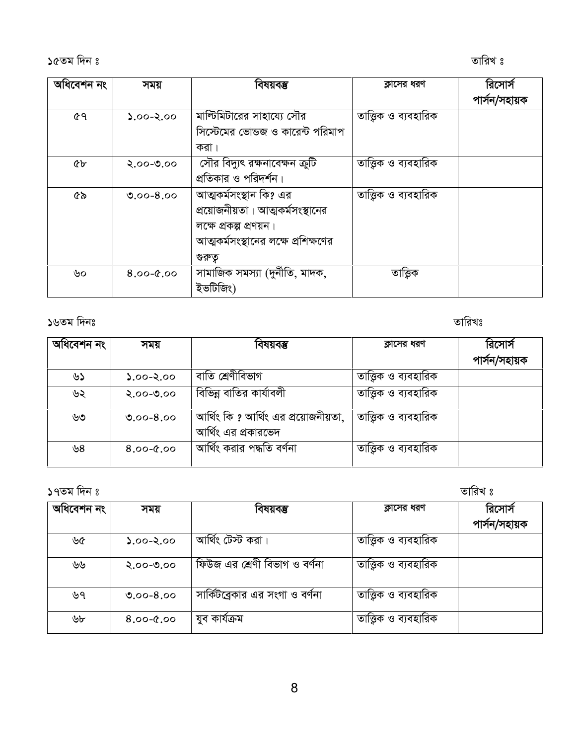| অধিবেশন নং | সময়          | বিষয়বম্ভ                           | ক্লাসের ধরণ           | রিসোর্স       |
|------------|---------------|-------------------------------------|-----------------------|---------------|
|            |               |                                     |                       | পাৰ্সন/সহায়ক |
| ৫৭         | $2.00 - 2.00$ | মাল্টিমিটারের সাহায্যে সৌর          | তাত্ত্বিক ও ব্যবহারিক |               |
|            |               | সিস্টেমের ভোন্ডজ ও কারেন্ট পরিমাপ   |                       |               |
|            |               | করা ।                               |                       |               |
| ৫৮         | $2.00 - 0.00$ | সৌর বিদ্যুৎ রক্ষনাবেক্ষন ক্রুটি     | তাত্ত্বিক ও ব্যবহারিক |               |
|            |               | প্রতিকার ও পরিদর্শন।                |                       |               |
| ৫৯         | $0.00 - 8.00$ | আত্মকর্মসংস্থান কি? এর              | তাত্ত্বিক ও ব্যবহারিক |               |
|            |               | প্রয়োজনীয়তা। আত্মকর্মসংস্থানের    |                       |               |
|            |               | লক্ষে প্রকল্প প্রণয়ন।              |                       |               |
|            |               | আত্মকর্মসংস্থানের লক্ষে প্রশিক্ষণের |                       |               |
|            |               | গুরুতু                              |                       |               |
| ৬০         | $0.9 - 0.8$   | সামাজিক সমস্যা (দুর্নীতি, মাদক,     | তাত্তিক               |               |
|            |               | ইভটিজিং)                            |                       |               |

১৬তম দিনঃ

তারিখঃ

তারিখ ঃ

| অধিবেশন নং | সময়          | বিষয়বম্ভ                                                   | ক্লাসের ধরণ           | রিসোর্স       |
|------------|---------------|-------------------------------------------------------------|-----------------------|---------------|
|            |               |                                                             |                       | পাৰ্সন/সহায়ক |
| ৬১         | $0.00 - 2.00$ | বাতি শ্রেণীবিভাগ                                            | তাত্তিক ও ব্যবহারিক   |               |
| ৬২         | $2.00 - 0.00$ | বিভিন্ন বাতির কার্যাবলী                                     | তাত্তিক ও ব্যবহারিক   |               |
| ৬৩         | $0.00 - 8.00$ | আর্থিং কি ? আর্থিং এর প্রয়োজনীয়তা,<br>আর্থিং এর প্রকারভেদ | তাত্ত্বিক ও ব্যবহারিক |               |
| ৬৪         | $8.00 - 0.00$ | আৰ্থিং করার পদ্ধতি বর্ণনা                                   | তাত্তিক ও ব্যবহারিক   |               |

১৭তম দিন ঃ

| অধিবেশন নং | সময়          | বিষয়বম্ভ                       | ক্লাসের ধরণ           | রিসোর্স       |
|------------|---------------|---------------------------------|-----------------------|---------------|
|            |               |                                 |                       | পাৰ্সন/সহায়ক |
| ৬৫         | $0.00 - 2.00$ | আৰ্থিং টেস্ট করা।               | তাত্তিক ও ব্যবহারিক   |               |
| ৬৬         | $2.00 - 0.00$ | ফিউজ এর শ্রেণী বিভাগ ও বর্ণনা   | তাত্ত্বিক ও ব্যবহারিক |               |
| ৬৭         | $0.00 - 8.00$ | সার্কিটব্রেকার এর সংগা ও বর্ণনা | তাত্ত্বিক ও ব্যবহারিক |               |
| ৬৮         | $8.00 - 0.00$ | যুব কাৰ্যক্ৰম                   | তাত্ত্বিক ও ব্যবহারিক |               |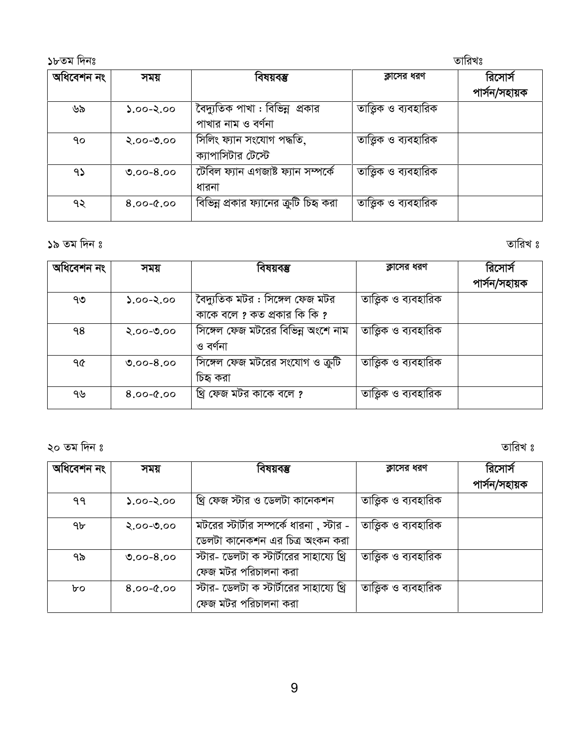| ১৮তম দিনঃ  |               |                                                       |                       | তারিখঃ                   |
|------------|---------------|-------------------------------------------------------|-----------------------|--------------------------|
| অধিবেশন নং | সময়          | বিষয়বম্ভ                                             | ক্লাসের ধরণ           | রিসোর্স<br>পাৰ্সন/সহায়ক |
| ৬৯         | $2.00 - 2.00$ | বৈদ্যুতিক পাখা : বিভিন্ন প্রকার<br>পাখার নাম ও বর্ণনা | তাত্ত্বিক ও ব্যবহারিক |                          |
| ٩o         | $2.00 - 0.00$ | সিলিং ফ্যান সংযোগ পদ্ধতি,<br>ক্যাপাসিটার টেস্টে       | তাত্তিক ও ব্যবহারিক   |                          |
| 95         | $0.00 - 8.00$ | টেবিল ফ্যান এগজাষ্ট ফ্যান সম্পৰ্কে<br>ধারনা           | তাত্তিক ও ব্যবহারিক   |                          |
| ৭২         | $8.00 - 0.00$ | বিভিন্ন প্রকার ফ্যানের ক্রুটি চিহ্ন করা               | তাত্ত্বিক ও ব্যবহারিক |                          |

তারিখ ঃ

| অধিবেশন নং | সময়          | বিষয়বম্ভ                          | ক্লাসের ধরণ           | রিসোর্স       |
|------------|---------------|------------------------------------|-----------------------|---------------|
|            |               |                                    |                       | পাৰ্সন/সহায়ক |
| ৭৩         | $0.00 - 2.00$ | বৈদ্যুতিক মটর : সিঙ্গেল ফেজ মটর    | তাত্ত্বিক ও ব্যবহারিক |               |
|            |               | কাকে বলে ? কত প্রকার কি কি ?       |                       |               |
| ۹8         | $2.00 - 0.00$ | সিঙ্গেল ফেজ মটরের বিভিন্ন অংশে নাম | তাত্ত্বিক ও ব্যবহারিক |               |
|            |               | ও বর্ণনা                           |                       |               |
| ዓ৫         | $0.00 - 8.00$ | সিঙ্গেল ফেজ মটরের সংযোগ ও ক্রুটি   | তাত্ত্বিক ও ব্যবহারিক |               |
|            |               | চিহ্ব করা                          |                       |               |
| ৭৬         | $8.00 - 0.00$ | খ্রি ফেজ মটর কাকে বলে ?            | তাত্ত্বিক ও ব্যবহারিক |               |
|            |               |                                    |                       |               |

২০ তম দিন ঃ

তারিখ ঃ

| অধিবেশন নং | সময়          | বিষয়বম্ভ                                                                   | ক্লাসের ধরণ           | রিসোর্স       |
|------------|---------------|-----------------------------------------------------------------------------|-----------------------|---------------|
|            |               |                                                                             |                       | পাৰ্সন/সহায়ক |
| ۹۹         | $0.60 - 2.00$ | খ্রি ফেজ স্টার ও ডেলটা কানেকশন                                              | তাত্ত্বিক ও ব্যবহারিক |               |
| ৭৮         | $2.00 - 0.00$ | মটরের স্টার্টার সম্পর্কে ধারনা , স্টার -<br>ডেলটা কানেকশন এর চিত্র অংকন করা | তাত্ত্বিক ও ব্যবহারিক |               |
| ৭৯         | $0.00 - 8.00$ | স্টার- ডেলটা ক স্টার্টারের সাহায্যে থ্রি<br>ফেজ মটর পরিচালনা করা            | তাত্ত্বিক ও ব্যবহারিক |               |
| bo         | $8.00 - 0.00$ | স্টার- ডেলটা ক স্টার্টারের সাহায্যে থ্রি<br>ফেজ মটর পরিচালনা করা            | তাত্তিক ও ব্যবহারিক   |               |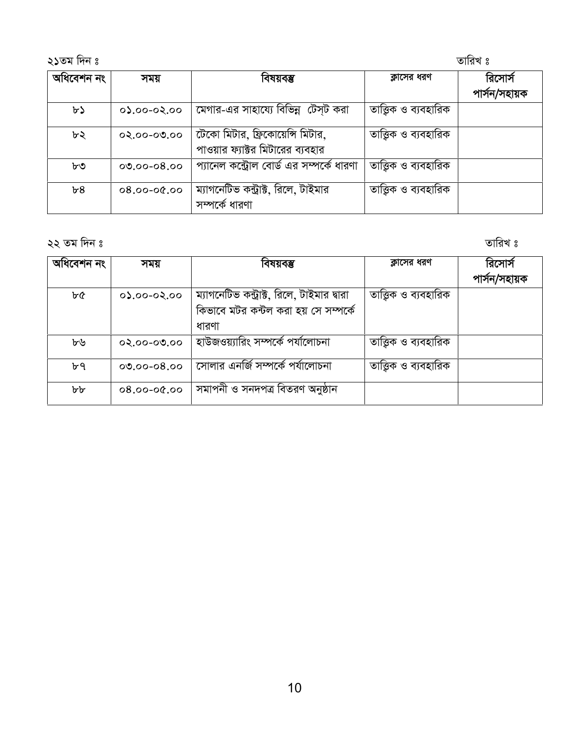#### তারিখ ঃ

| অধিবেশন নং | সময়            | বিষয়বম্ভ                                                            | ক্লাসের ধরণ           | রিসোর্স       |
|------------|-----------------|----------------------------------------------------------------------|-----------------------|---------------|
|            |                 |                                                                      |                       | পাৰ্সন/সহায়ক |
| ৮১         | $00,90-00,00$   | মেগার-এর সাহায্যে বিভিন্ন টেস্ট করা                                  | তাত্ত্বিক ও ব্যবহারিক |               |
| ৮২         | $02.00 - 00.00$ | টেকো মিটার, ফ্রিকোয়েন্সি মিটার,<br>পাওয়ার ফ্যাক্টর মিটারের ব্যবহার | তাত্ত্বিক ও ব্যবহারিক |               |
| ৮৩         | $00.00 - 08.00$ | প্যানেল কন্ট্রোল বোর্ড এর সম্পর্কে ধারণা                             | তাত্ত্বিক ও ব্যবহারিক |               |
| b8         | $0.90 - 00.80$  | ম্যাগনেটিভ কন্ট্রাক্ট, রিলে, টাইমার<br>সম্পৰ্কে ধারণা                | তাত্ত্বিক ও ব্যবহারিক |               |

২২ তম দিন ঃ

তারিখ ঃ

| অধিবেশন নং | সময়            | বিষয়বম্ভ                                  | ক্লাসের ধরণ           | রিসোর্স       |
|------------|-----------------|--------------------------------------------|-----------------------|---------------|
|            |                 |                                            |                       | পাৰ্সন/সহায়ক |
| ৮৫         | $00,60-00,60$   | ম্যাগনেটিভ কন্ট্রাক্ট, রিলে, টাইমার দ্বারা | তাত্ত্বিক ও ব্যবহারিক |               |
|            |                 | কিভাবে মটর কন্টল করা হয় সে সম্পর্কে       |                       |               |
|            |                 | ধারণা                                      |                       |               |
| ৮৬         | $02.00 - 00.00$ | হাউজওয়্যারিং সম্পর্কে পর্যালোচনা          | তাত্ত্বিক ও ব্যবহারিক |               |
| ৮৭         | $00.00 - 08.00$ | সোলার এনর্জি সম্পর্কে পর্যালোচনা           | তাত্ত্বিক ও ব্যবহারিক |               |
| ৮৮         | $00.90 - 00.80$ | সমাপনী ও সনদপত্ৰ বিতরণ অনুষ্ঠান            |                       |               |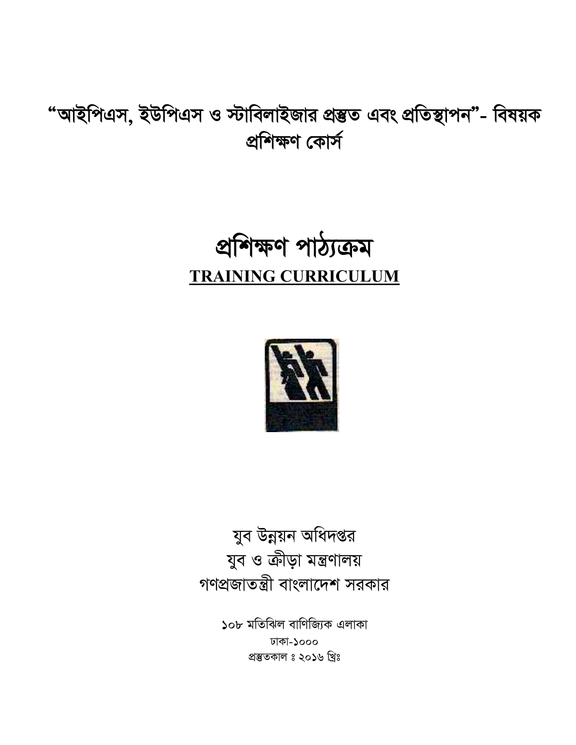যুব উন্নয়ন অধিদপ্তর যুব ও ক্রীড়া মন্ত্রণালয় গণপ্রজাতন্ত্রী বাংলাদেশ সরকার

> ১০৮ মতিঝিল বাণিজ্যিক এলাকা ঢাকা-১০০০ প্ৰস্তুতকাল ঃ ২০১৬ খ্ৰিঃ



## প্ৰশিক্ষণ পাঠ্যক্ৰম **TRAINING CURRICULUM**

"আইপিএস, ইউপিএস ও স্টাবিলাইজার প্রম্ভত এবং প্রতিস্থাপন"- বিষয়ক প্ৰশিক্ষণ কোৰ্স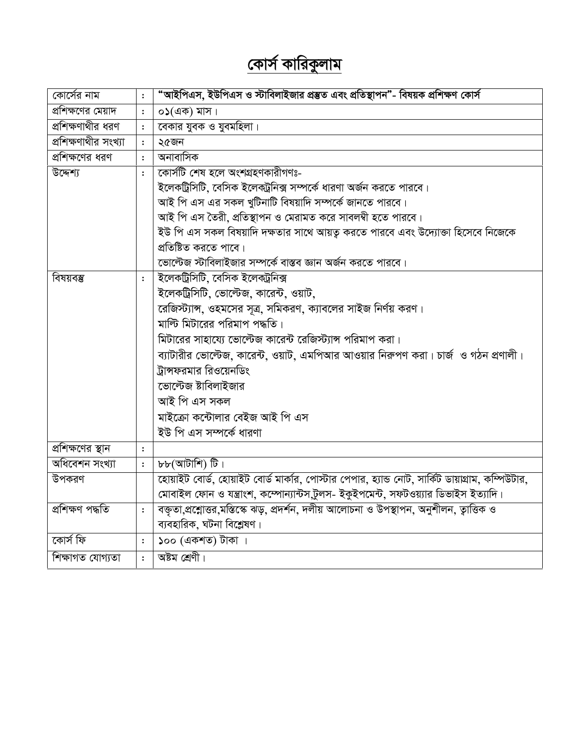## <u>কোর্স কারিকুলাম</u>

| কোর্সের নাম          | $\colon$       | "আইপিএস, ইউপিএস ও স্টাবিলাইজার প্রস্তুত এবং প্রতিস্থাপন"- বিষয়ক প্রশিক্ষণ কোর্স                 |
|----------------------|----------------|--------------------------------------------------------------------------------------------------|
| প্রশিক্ষণের মেয়াদ   | $\colon$       | $\circ$ ১(এক) মাস।                                                                               |
| প্রশিক্ষণাথীর ধরণ    | $\ddot{\cdot}$ | বেকার যুবক ও যুবমহিলা।                                                                           |
| প্রশিক্ষণাথীর সংখ্যা | $\ddot{\cdot}$ | ২৫জন                                                                                             |
| প্রশিক্ষণের ধরণ      | $\ddot{\cdot}$ | অনাবাসিক                                                                                         |
| উদ্দেশ্য             | $\ddot{\cdot}$ | কোৰ্সটি শেষ হলে অংশগ্ৰহণকারীগণঃ-                                                                 |
|                      |                | ইলেকট্রিসিটি, বেসিক ইলেকট্রনিক্স সম্পর্কে ধারণা অর্জন করতে পারবে।                                |
|                      |                | আই পি এস এর সকল খুটিনাটি বিষয়াদি সম্পর্কে জানতে পারবে।                                          |
|                      |                | আই পি এস তৈরী, প্রতিস্থাপন ও মেরামত করে সাবলম্বী হতে পারবে।                                      |
|                      |                | ইউ পি এস সকল বিষয়াদি দক্ষতার সাথে আয়তু করতে পারবে এবং উদ্যোক্তা হিসেবে নিজেকে                  |
|                      |                | প্রতিষ্টিত করতে পাবে।                                                                            |
|                      |                | ভোল্টেজ স্টাবিলাইজার সম্পর্কে বাস্তব জ্ঞান অর্জন করতে পারবে।                                     |
| বিষয়বম্ভ            | $\ddot{\cdot}$ | ইলেকট্ৰিসিটি, বেসিক ইলেকট্ৰনিক্স                                                                 |
|                      |                | ইলেকট্রিসিটি, ভোল্টেজ, কারেন্ট, ওয়াট,                                                           |
|                      |                | রেজিস্ট্যান্স, ওহমসের সূত্র, সমিকরণ, ক্যাবলের সাইজ নির্ণয় করণ।                                  |
|                      |                | মাল্ট মিটারের পরিমাপ পদ্ধতি।                                                                     |
|                      |                | মিটারের সাহায্যে ভোল্টেজ কারেন্ট রেজিস্ট্যান্স পরিমাপ করা।                                       |
|                      |                | ব্যাটারীর ভোল্টেজ, কারেন্ট, ওয়াট, এমপিআর আওয়ার নিরুপণ করা। চার্জ  ও গঠন প্রণালী।               |
|                      |                | ট্রান্সফরমার রিওয়েনডিং                                                                          |
|                      |                | ভোল্টেজ ষ্টাবিলাইজার                                                                             |
|                      |                | আই পি এস সকল                                                                                     |
|                      |                | মাইক্রো কন্টোলার বেইজ আই পি এস                                                                   |
|                      |                | ইউ পি এস সম্পৰ্কে ধারণা                                                                          |
| প্রশিক্ষণের স্থান    | $\ddot{\cdot}$ |                                                                                                  |
| অধিবেশন সংখ্যা       | $\colon$       | $b\bar{b}$ (আটাশি) টি।                                                                           |
| উপকরণ                |                | হোয়াইট বোর্ড, হোয়াইট বোর্ড মার্কার, পোস্টার পেপার, হ্যান্ড নোট, সার্কিট ডায়াগ্রাম, কম্পিউটার, |
|                      |                | মোবাইল ফোন ও যন্ত্রাংশ, কম্পোন্যান্টস,টুলস- ইকুইপমেন্ট, সফটওয়্যার ডিভাইস ইত্যাদি।               |
| প্ৰশিক্ষণ পদ্ধতি     | $\ddot{\cdot}$ | বক্তৃতা,প্রশ্লোত্তর,মস্তিস্কে ঝড়, প্রদর্শন, দলীয় আলোচনা ও উপস্থাপন, অনুশীলন, ত্বাত্তিক ও       |
|                      |                | ব্যবহারিক, ঘটনা বিশ্লেষণ।                                                                        |
| কোৰ্স ফি             | $\ddot{\cdot}$ | ১০০ (একশত) টাকা ।                                                                                |
| শিক্ষাগত যোগ্যতা     | $\ddot{\cdot}$ | অষ্টম শ্ৰেণী।                                                                                    |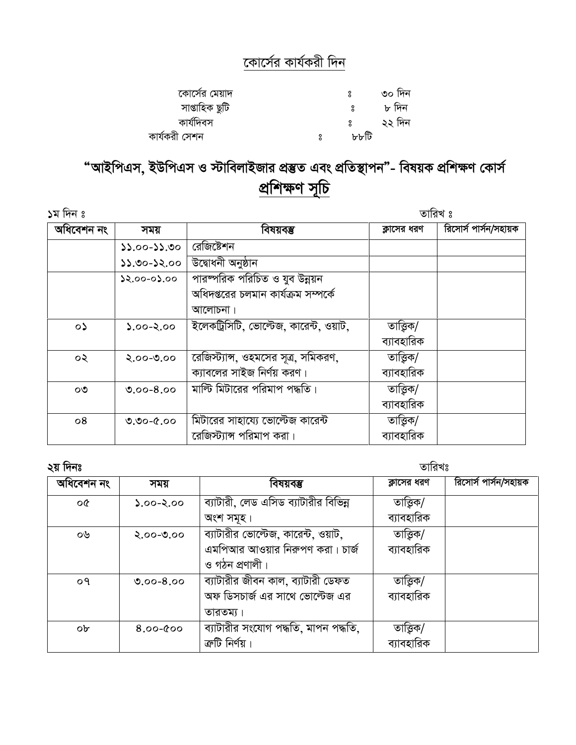#### কোর্সের কার্যকরী দিন

| কোর্সের মেয়াদ |      | ৩০ দিন |
|----------------|------|--------|
| সাপ্তাহিক ছুটি |      | ৮ দিন  |
| কাৰ্যদিবস      |      | ২২ দিন |
| কাৰ্যকরী সেশন  | ৮৮টি |        |

### "আইপিএস, ইউপিএস ও স্টাবিলাইজার প্রম্ভত এবং প্রতিস্থাপন"- বিষয়ক প্রশিক্ষণ কোর্স প্রশিক্ষণ সূচি

| ১ম দিন ঃ   |                 |                                        | তারিখ ঃ     |                       |
|------------|-----------------|----------------------------------------|-------------|-----------------------|
| অধিবেশন নং | সময়            | বিষয়বম্ভ                              | ক্লাসের ধরণ | রিসোর্স পার্সন/সহায়ক |
|            | $55.00 - 25.00$ | রেজিষ্টেশন                             |             |                       |
|            | $0.52-00.22$    | উদ্বোধনী অনুষ্ঠান                      |             |                       |
|            | $22.00 - 02.00$ | পারষ্পরিক পরিচিত ও যুব উন্নয়ন         |             |                       |
|            |                 | অধিদপ্তরের চলমান কার্যক্রম সম্পর্কে    |             |                       |
|            |                 | আলোচনা।                                |             |                       |
| $\circ$    | $0.90 - 2.00$   | ইলেকট্রিসিটি, ভোল্টেজ, কারেন্ট, ওয়াট, | তাত্তিক/    |                       |
|            |                 |                                        | ব্যাবহারিক  |                       |
| ০২         | $0.00 - 0.00$   | রেজিস্ট্যান্স, ওহমসের সূত্র, সমিকরণ,   | তাত্তিক/    |                       |
|            |                 | ক্যাবলের সাইজ নির্ণয় করণ।             | ব্যাবহারিক  |                       |
| ೦೨         | $0.00 - 8.00$   | মাল্টি মিটারের পরিমাপ পদ্ধতি।          | তাত্তিক/    |                       |
|            |                 |                                        | ব্যাবহারিক  |                       |
| 08         | $0.90 - 0.00$   | মিটারের সাহায্যে ভোল্টেজ কারেন্ট       | তাত্তিক/    |                       |
|            |                 | রেজিস্ট্যান্স পরিমাপ করা।              | ব্যাবহারিক  |                       |

| п<br>یم<br>٠ |
|--------------|
| п            |

তারিখঃ

| ~ * * * * * *  |               |                                      |             |                       |
|----------------|---------------|--------------------------------------|-------------|-----------------------|
| অধিবেশন নং     | সময়          | বিষয়বম্ভ                            | ক্লাসের ধরণ | রিসোর্স পার্সন/সহায়ক |
| o¢             | $0.90 - 2.00$ | ব্যাটারী, লেড এসিড ব্যাটারীর বিভিন্ন | তাত্তিক/    |                       |
|                |               | অংশ সমূহ।                            | ব্যাবহারিক  |                       |
| ০৬             | $2.00 - 0.00$ | ব্যাটারীর ভোল্টেজ, কারেন্ট, ওয়াট,   | তাত্তিক/    |                       |
|                |               | এমপিআর আওয়ার নিরুপণ করা। চার্জ      | ব্যাবহারিক  |                       |
|                |               | ও গঠন প্ৰণালী।                       |             |                       |
| O <sub>9</sub> | $0.00 - 8.00$ | ব্যাটারীর জীবন কাল, ব্যাটারী ডেফত    | তাত্তিক/    |                       |
|                |               | অফ ডিসচার্জ এর সাথে ভোল্টেজ এর       | ব্যাবহারিক  |                       |
|                |               | তারতম্য।                             |             |                       |
| $ob^c$         | $8.00 - 000$  | ব্যাটারীর সংযোগ পদ্ধতি, মাপন পদ্ধতি, | তাত্তিক/    |                       |
|                |               | ক্রটি নির্ণয়।                       | ব্যাবহারিক  |                       |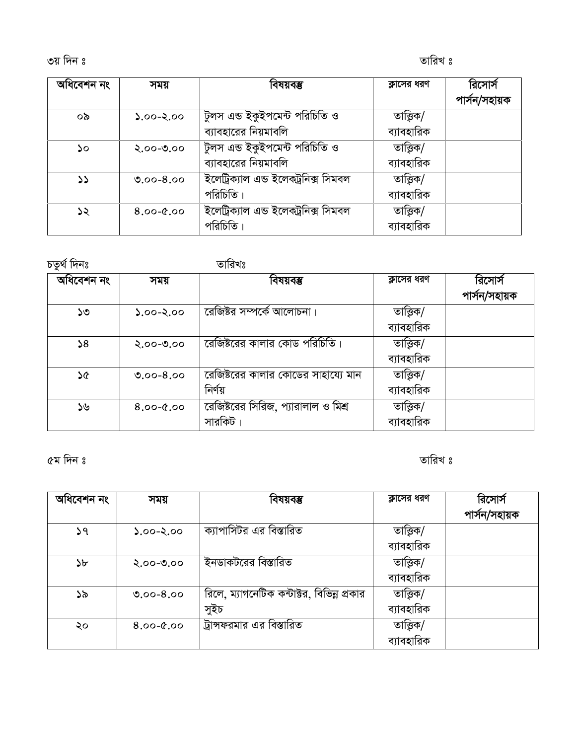3q w`b t ZvwiL t

| অধিবেশন নং | সময়          | বিষয়বম্ভ                            | ক্লাসের ধরণ | রিসোর্স       |
|------------|---------------|--------------------------------------|-------------|---------------|
|            |               |                                      |             | পাৰ্সন/সহায়ক |
| ০৯         | $0.60 - 2.00$ | টুলস এন্ড ইকুইপমেন্ট পরিচিতি ও       | তাত্তিক/    |               |
|            |               | ব্যাবহারের নিয়মাবলি                 | ব্যাবহারিক  |               |
| ১০         | $2.00 - 0.00$ | টুলস এন্ড ইকুইপমেন্ট পরিচিতি ও       | তাত্তিক/    |               |
|            |               | ব্যাবহারের নিয়মাবলি                 | ব্যাবহারিক  |               |
| دد         | $0.00 - 8.00$ | ইলেট্ৰিক্যাল এন্ড ইলেকট্ৰনিক্স সিমবল | তাত্তিক/    |               |
|            |               | পরিচিতি।                             | ব্যাবহারিক  |               |
| ১২         | $8.00 - 0.00$ | ইলেট্ৰিক্যাল এন্ড ইলেকট্ৰনিক্স সিমবল | তাত্তিক/    |               |
|            |               | পরিচিতি                              | ব্যাবহারিক  |               |

চতুৰ্থ দিনঃ **সম্ভাৱিষ**ঃ

| অধিবেশন নং | সময়          | বিষয়বম্ভ                                      | ক্লাসের ধরণ            | রিসোর্স<br>পাৰ্সন/সহায়ক |
|------------|---------------|------------------------------------------------|------------------------|--------------------------|
| ১৩         | $00.5-00.6$   | রেজিষ্টর সম্পর্কে আলোচনা।                      | তাত্তিক/<br>ব্যাবহারিক |                          |
| 58         | $2.00 - 0.00$ | রেজিষ্টরের কালার কোড পরিচিতি।                  | তাত্তিক/<br>ব্যাবহারিক |                          |
| ১৫         | $0.00 - 8.00$ | রেজিষ্টরের কালার কোডের সাহায্যে মান<br>নিৰ্ণয় | তাত্তিক/<br>ব্যাবহারিক |                          |
| ১৬         | $8.00 - 0.00$ | রেজিষ্টরের সিরিজ, প্যারালাল ও মিশ্র<br>সারকিট  | তাত্তিক/<br>ব্যাবহারিক |                          |

5g w`b t ZvwiL t

| অধিবেশন নং    | সময়          | বিষয়বম্ভ                                  | ক্লাসের ধরণ | রিসোর্স       |
|---------------|---------------|--------------------------------------------|-------------|---------------|
|               |               |                                            |             | পাৰ্সন/সহায়ক |
| ১৭            | $0.60 - 2.00$ | ক্যাপাসিটর এর বিস্তারিত                    | তাত্তিক/    |               |
|               |               |                                            | ব্যাবহারিক  |               |
| $\mathcal{P}$ | $2.00 - 0.00$ | ইনডাকটরের বিস্তারিত                        | তাত্ত্বিক/  |               |
|               |               |                                            | ব্যাবহারিক  |               |
| ১৯            | $0.00 - 8.00$ | রিলে, ম্যাগনেটিক কন্টাক্টর, বিভিন্ন প্রকার | তাত্তিক/    |               |
|               |               | সুইচ                                       | ব্যাবহারিক  |               |
| ২০            | $8.00 - 0.00$ | ট্রান্সফরমার এর বিস্তারিত                  | তাত্ত্বিক/  |               |
|               |               |                                            | ব্যাবহারিক  |               |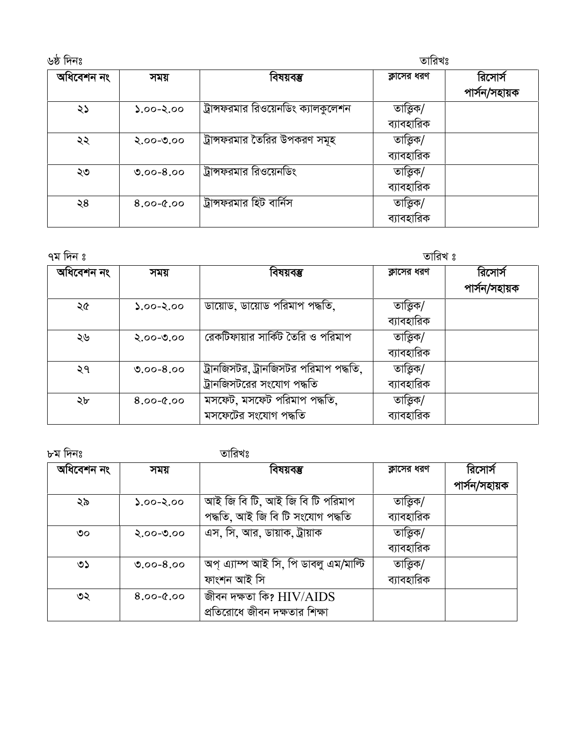| ৬ষ্ঠ দিনঃ  |               |                                     | তারিখঃ                   |                          |  |
|------------|---------------|-------------------------------------|--------------------------|--------------------------|--|
| অধিবেশন নং | সময়          | বিষয়বম্ভ                           | ক্লাসের ধরণ              | রিসোর্স<br>পাৰ্সন/সহায়ক |  |
| ২১         | $2.00 - 2.00$ | ট্রান্সফরমার রিওয়েনডিং ক্যালকুলেশন | তাত্তিক/<br>ব্যাবহারিক   |                          |  |
| ২২         | $2.00 - 0.00$ | ট্রান্সফরমার তৈরির উপকরণ সমূহ       | তাত্ত্বিক/<br>ব্যাবহারিক |                          |  |
| ২৩         | $0.00 - 8.00$ | ট্রান্সফরমার রিওয়েনডিং             | তাত্ত্বিক/<br>ব্যাবহারিক |                          |  |
| ২৪         | $8.00 - 0.00$ | ট্রান্সফরমার হিট বার্নিস            | তাত্তিক/<br>ব্যাবহারিক   |                          |  |

তারিখ ঃ

| অধিবেশন নং | সময়          | বিষয়বম্ভ                             | ক্লাসের ধরণ | রিসোর্স       |
|------------|---------------|---------------------------------------|-------------|---------------|
|            |               |                                       |             | পাৰ্সন/সহায়ক |
| ২৫         | $2.00 - 2.00$ | ডায়োড, ডায়োড পরিমাপ পদ্ধতি,         | তাত্তিক/    |               |
|            |               |                                       | ব্যাবহারিক  |               |
| ২৬         | $2.00 - 0.00$ | রেকটিফায়ার সার্কিট তৈরি ও পরিমাপ     | তাত্তিক/    |               |
|            |               |                                       | ব্যাবহারিক  |               |
| ২৭         | $0.00 - 8.00$ | ট্রানজিসটর, ট্রানজিসটর পরিমাপ পদ্ধতি, | তাত্তিক/    |               |
|            |               | ট্রানজিসটরের সংযোগ পদ্ধতি             | ব্যাবহারিক  |               |
| ২৮         | $8.00 - 0.00$ | মসফেট, মসফেট পরিমাপ পদ্ধতি,           | তাত্তিক/    |               |
|            |               | মসফেটের সংযোগ পদ্ধতি                  | ব্যাবহারিক  |               |

৮ম দিনঃ

তারিখঃ

| অধিবেশন নং | সময়          | বিষয়বম্ভ                             | ক্লাসের ধরণ | রিসোর্স       |
|------------|---------------|---------------------------------------|-------------|---------------|
|            |               |                                       |             | পাৰ্সন/সহায়ক |
| ২৯         | $2.00 - 2.00$ | আই জি বি টি, আই জি বি টি পরিমাপ       | তাত্তিক/    |               |
|            |               | পদ্ধতি, আই জি বি টি সংযোগ পদ্ধতি      | ব্যাবহারিক  |               |
| ৩০         | $2.00 - 0.00$ | এস, সি, আর, ডায়াক, ট্রায়াক          | তাত্তিক/    |               |
|            |               |                                       | ব্যাবহারিক  |               |
| ৩১         | $0.00 - 8.00$ | অপ্ এ্যাম্প আই সি, পি ডাবলু এম/মাল্টি | তাত্তিক/    |               |
|            |               | ফাংশন আই সি                           | ব্যাবহারিক  |               |
| ৩২         | $8.00 - 0.00$ | জীবন দক্ষতা কি? $HIV/AIDS$            |             |               |
|            |               | প্রতিরোধে জীবন দক্ষতার শিক্ষা         |             |               |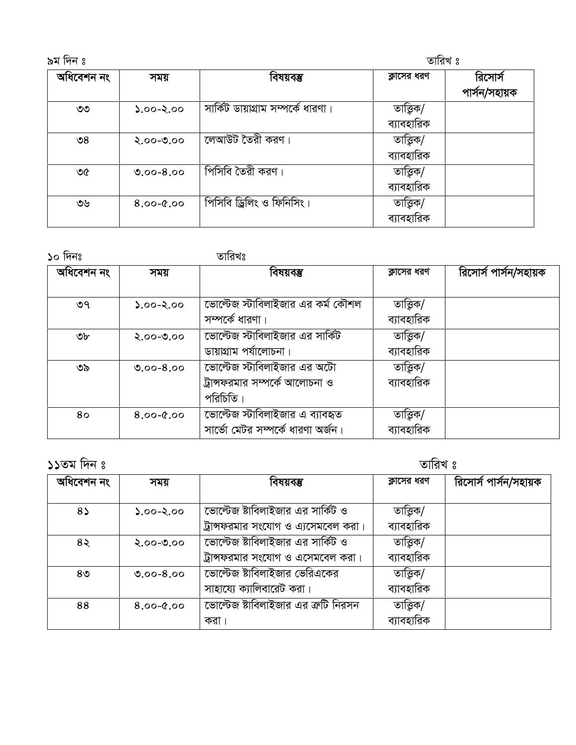| তারিখ ঃ<br>৯ম দিন ঃ   |               |                                    |                          |                          |
|-----------------------|---------------|------------------------------------|--------------------------|--------------------------|
| অধিবেশন নং            | সময়          | বিষয়বম্ভ                          | ক্লাসের ধরণ              | রিসোর্স<br>পাৰ্সন/সহায়ক |
| ಄                     | $0.90 - 2.00$ | সার্কিট ডায়াগ্রাম সম্পর্কে ধারণা। | তাত্ত্বিক/<br>ব্যাবহারিক |                          |
| $\mathcal{S}^{\circ}$ | $2.00 - 0.00$ | লেআউট তৈরী করণ।                    | তাত্ত্বিক/<br>ব্যাবহারিক |                          |
| ৩৫                    | $0.00 - 8.00$ | পিসিবি তৈরী করণ।                   | তাত্তিক/<br>ব্যাবহারিক   |                          |
| ৩৬                    | $8.00 - 0.00$ | পিসিবি ড্রিলিং ও ফিনিসিং।          | তাত্ত্বিক/<br>ব্যাবহারিক |                          |

১০ দিনঃ $\overline{\phantom{a}}$ 

| অধিবেশন নং | সময়          | বিষয়বম্ভ                                                            | ক্লাসের ধরণ            | রিসোর্স পার্সন/সহায়ক |
|------------|---------------|----------------------------------------------------------------------|------------------------|-----------------------|
|            |               |                                                                      |                        |                       |
| ৩৭         | $0.90 - 2.00$ | ভোল্টেজ স্টাবিলাইজার এর কর্ম কৌশল<br>সম্পৰ্কে ধারণা।                 | তাত্তিক/<br>ব্যাবহারিক |                       |
| ৩৮         | $2.00 - 0.00$ | ভোল্টেজ স্টাবিলাইজার এর সার্কিট                                      | তাত্তিক/               |                       |
|            |               | ডায়াগ্রাম পর্যালোচনা।                                               | ব্যাবহারিক             |                       |
| ৩৯         | $0.00 - 8.00$ | ভোল্টেজ স্টাবিলাইজার এর অটো                                          | তাত্তিক/               |                       |
|            |               | ট্রান্সফরমার সম্পর্কে আলোচনা ও                                       | ব্যাবহারিক             |                       |
|            |               | পরিচিতি।                                                             |                        |                       |
| 80         | $8.00 - 0.00$ | ভোল্টেজ স্টাবিলাইজার এ ব্যাবহৃত<br>সার্ভো মেটর সম্পর্কে ধারণা অর্জন। | তাত্তিক/<br>ব্যাবহারিক |                       |
|            |               |                                                                      |                        |                       |

| $55$ তম দিন ঃ  |               |                                     | তারিখ ঃ     |                       |  |
|----------------|---------------|-------------------------------------|-------------|-----------------------|--|
| অধিবেশন নং     | সময়          | বিষয়বম্ভ                           | ক্লাসের ধরণ | রিসোর্স পার্সন/সহায়ক |  |
| $8\lambda$     | $0.90 - 2.00$ | ভোল্টেজ ষ্টাবিলাইজার এর সার্কিট ও   | তাত্তিক/    |                       |  |
|                |               | ট্রান্সফরমার সংযোগ ও এ্যসেমবেল করা। | ব্যাবহারিক  |                       |  |
| $8\lambda$     | $2.00 - 0.00$ | ভোল্টেজ ষ্টাবিলাইজার এর সার্কিট ও   | তাত্তিক/    |                       |  |
|                |               | ট্রান্সফরমার সংযোগ ও এসেমবেল করা।   | ব্যাবহারিক  |                       |  |
| 8 <sub>0</sub> | $0.00 - 8.00$ | ভোল্টেজ ষ্টাবিলাইজার ভেরিএকের       | তাত্তিক/    |                       |  |
|                |               | সাহায্যে ক্যালিবারেট করা।           | ব্যাবহারিক  |                       |  |
| 88             | $8.00 - 0.00$ | ভোল্টেজ ষ্টাবিলাইজার এর ক্রটি নিরসন | তাত্তিক/    |                       |  |
|                |               | করা                                 | ব্যাবহারিক  |                       |  |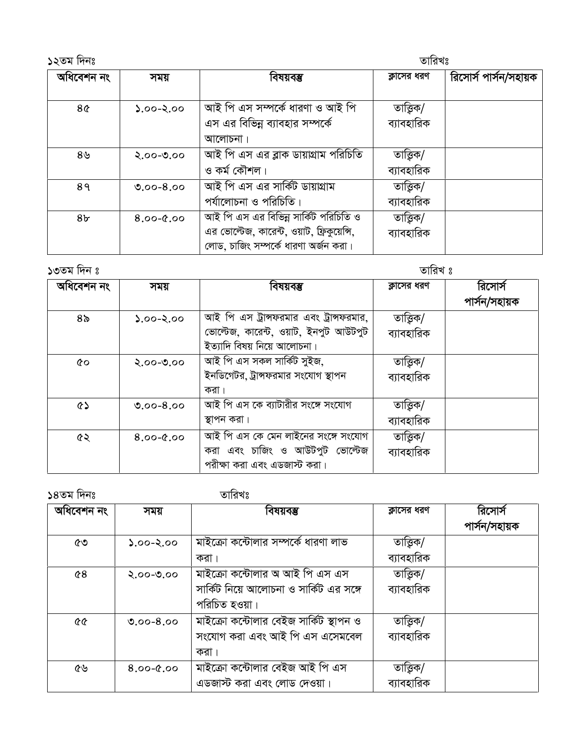১২তম দিনঃ অধিবেশন নং বিষয়বম্ভ রিসোর্স পার্সন/সহায়ক ক্লাসের ধরণ সময় আই পি এস সম্পৰ্কে ধারণা ও আই পি তাত্ত্বিক/  $0.90 - 2.00$  $8<sub>0</sub>$ এস এর বিভিন্ন ব্যাবহার সম্পর্কে ব্যাবহারিক আলোচনা। আই পি এস এর ব্লাক ডায়াগ্রাম পরিচিতি তাত্তিক/  $8\,$ ৬ २.००-७.०० ও কৰ্ম কৌশল। ব্যাবহারিক আই পি এস এর সার্কিট ডায়াগ্রাম তাত্ত্বিক/  $0.00 - 8.00$  $89$ পর্যালোচনা ও পরিচিতি। ব্যাবহারিক আই পি এস এর বিভিন্ন সার্কিট পরিচিতি ও তাত্ত্বিক/  $8.00 - 0.00$  $8<sub>b</sub>$ এর ভোল্টেজ, কারেন্ট, ওয়াট, ফ্রিকুয়েন্সি, ব্যাবহারিক লোড, চাজিং সম্পর্কে ধারণা অর্জন করা।

| ১৩তম দিন ঃ     |               |                                                                                                                 | তারিখ ঃ                |                          |  |
|----------------|---------------|-----------------------------------------------------------------------------------------------------------------|------------------------|--------------------------|--|
| অধিবেশন নং     | সময়          | বিষয়বম্ভ                                                                                                       | ক্লাসের ধরণ            | রিসোর্স<br>পাৰ্সন/সহায়ক |  |
| 8 <sub>o</sub> | $0.00 - 2.00$ | আই পি এস ট্রান্সফরমার এবং ট্রান্সফরমার,<br>ভোল্টেজ, কারেন্ট, ওয়াট, ইনপুট আউটপুট<br>ইত্যাদি বিষয় নিয়ে আলোচনা। | তাত্তিক/<br>ব্যাবহারিক |                          |  |
| $\infty$       | $2.00 - 0.00$ | আই পি এস সকল সার্কিট সুইজ,<br>ইনডিগেটর, ট্রান্সফরমার সংযোগ স্থাপন<br>করা ।                                      | তাত্তিক/<br>ব্যাবহারিক |                          |  |
| ৫১             | $0.00 - 8.00$ | আই পি এস কে ব্যাটারীর সংঙ্গে সংযোগ<br>স্থাপন করা।                                                               | তাত্তিক/<br>ব্যাবহারিক |                          |  |
| ৫২             | $8.00 - 0.00$ | আই পি এস কে মেন লাইনের সংঙ্গে সংযোগ<br>করা এবং চাজিং ও আউটপুট ভোল্টেজ<br>পরীক্ষা করা এবং এডজাস্ট করা।           | তাত্তিক/<br>ব্যাবহারিক |                          |  |

| ১৪তম দিনঃ      |               | তারিখঃ                                                                                     |                        |                          |
|----------------|---------------|--------------------------------------------------------------------------------------------|------------------------|--------------------------|
| অধিবেশন নং     | সময়          | বিষয়বম্ভ                                                                                  | ক্লাসের ধরণ            | রিসোর্স<br>পাৰ্সন/সহায়ক |
| ৫৩             | $0.90 - 2.00$ | মাইক্রো কন্টোলার সম্পর্কে ধারণা লাভ<br>করা ।                                               | তাত্তিক/<br>ব্যাবহারিক |                          |
| $\mathcal{C}8$ | $2.00 - 0.00$ | মাইক্রো কন্টোলার অ আই পি এস এস<br>সার্কিট নিয়ে আলোচনা ও সার্কিট এর সঙ্গে<br>পরিচিত হওয়া। | তাত্তিক/<br>ব্যাবহারিক |                          |
|                | $0.00 - 8.00$ | মাইক্রো কন্টোলার বেইজ সার্কিট স্থাপন ও<br>সংযোগ করা এবং আই পি এস এসেমবেল<br>করা ।          | তাত্তিক/<br>ব্যাবহারিক |                          |
| ৫৬             | $0.9 - 0.8$   | মাইক্রো কন্টোলার বেইজ আই পি এস<br>এডজাস্ট করা এবং লোড দেওয়া।                              | তাত্তিক/<br>ব্যাবহারিক |                          |

তারিখঃ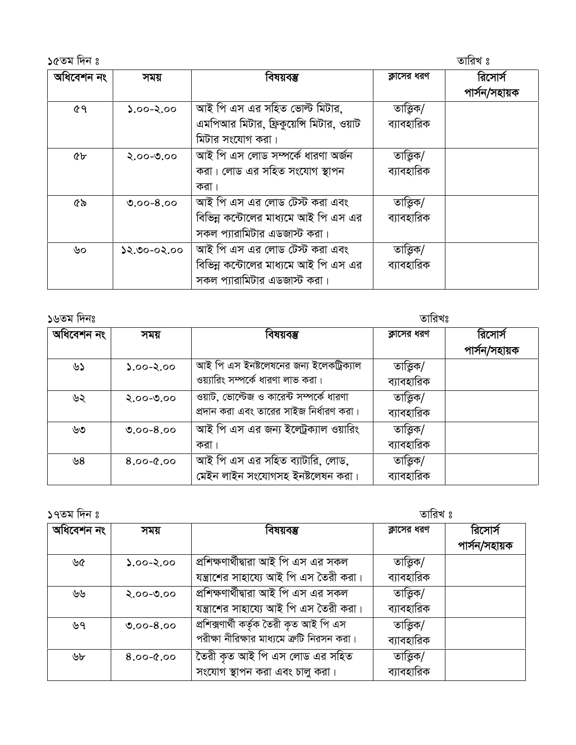| ১৫তম দিন ঃ |               |                                                                                                       |                        | তারিখ ঃ                  |
|------------|---------------|-------------------------------------------------------------------------------------------------------|------------------------|--------------------------|
| অধিবেশন নং | সময়          | বিষয়বম্ভ                                                                                             | ক্লাসের ধরণ            | রিসোর্স<br>পাৰ্সন/সহায়ক |
| ৫৭         | $2.00 - 2.00$ | আই পি এস এর সহিত ভোল্ট মিটার,<br>এমপিআর মিটার, ফ্রিকুয়েন্সি মিটার, ওয়াট<br>মিটার সংযোগ করা।         | তাত্তিক/<br>ব্যাবহারিক |                          |
| <b>cr</b>  | $2.00 - 0.00$ | আই পি এস লোড সম্পৰ্কে ধারণা অৰ্জন<br>করা। লোড এর সহিত সংযোগ স্থাপন<br>করা ।                           | তাত্তিক/<br>ব্যাবহারিক |                          |
| ৫৯         | $0.00 - 8.00$ | আই পি এস এর লোড টেস্ট করা এবং<br>বিভিন্ন কন্টোলের মাধ্যমে আই পি এস এর<br>সকল প্যারামিটার এডজাস্ট করা। | তাত্তিক/<br>ব্যাবহারিক |                          |
| ৬০         | ১২.৩০-০২.০০   | আই পি এস এর লোড টেস্ট করা এবং<br>বিভিন্ন কন্টোলের মাধ্যমে আই পি এস এর<br>সকল প্যারামিটার এডজাস্ট করা। | তাত্তিক/<br>ব্যাবহারিক |                          |

| ১৬তম দিনঃ  |               |                                                                                    | তারিখঃ                   |                          |
|------------|---------------|------------------------------------------------------------------------------------|--------------------------|--------------------------|
| অধিবেশন নং | সময়          | বিষয়বম্ভ                                                                          | ক্লাসের ধরণ              | রিসোর্স<br>পাৰ্সন/সহায়ক |
| ৬১         | $0.90 - 2.00$ | আই পি এস ইনষ্টলেষনের জন্য ইলেকট্রিক্যাল<br>ওয়্যারিং সম্পর্কে ধারণা লাভ করা।       | তাত্ত্বিক/<br>ব্যাবহারিক |                          |
| ৬২         | $2.00 - 0.00$ | ওয়াট, ভোল্টেজ ও কারেন্ট সম্পর্কে ধারণা<br>প্রদান করা এবং তারের সাইজ নির্ধারণ করা। | তাত্তিক/<br>ব্যাবহারিক   |                          |
| ৬৩         | $0.00 - 8.00$ | আই পি এস এর জন্য ইল্ট্রেক্যাল ওয়ারিং<br>করা                                       | তাত্তিক/<br>ব্যাবহারিক   |                          |
| ৬৪         | $8.00 - 0.00$ | আই পি এস এর সহিত ব্যাটারি, লোড,<br>মেইন লাইন সংযোগসহ ইনষ্টলেষন করা।                | তাত্তিক/<br>ব্যাবহারিক   |                          |

তাৱিখ ঃ

| $\sim$ 1991 1111 0 |                                         | 0 רגוו ש                                   |               |  |
|--------------------|-----------------------------------------|--------------------------------------------|---------------|--|
| সময়               | বিষয়বম্ভ                               | ক্লাসের ধরণ                                | রিসোর্স       |  |
|                    |                                         |                                            | পাৰ্সন/সহায়ক |  |
| $0.60 - 2.00$      | প্ৰশিক্ষণাৰ্থীদ্বারা আই পি এস এর সকল    | তাত্তিক/                                   |               |  |
|                    | যন্ত্রাশের সাহায্যে আই পি এস তৈরী করা।  | ব্যাবহারিক                                 |               |  |
| $2.00 - 0.00$      | প্রশিক্ষণার্থীদ্বারা আই পি এস এর সকল    | তাত্তিক/                                   |               |  |
|                    | যন্ত্রাশের সাহায্যে আই পি এস তৈরী করা।  | ব্যাবহারিক                                 |               |  |
| $0.00 - 8.00$      | প্ৰশিক্সণাৰ্থী কৰ্তৃক তৈরী কৃত আই পি এস | তাত্তিক/                                   |               |  |
|                    |                                         | ব্যাবহারিক                                 |               |  |
| $0.9 - 0.8$        | তৈরী কৃত আই পি এস লোড এর সহিত           | তাত্তিক/                                   |               |  |
|                    | সংযোগ স্থাপন করা এবং চালু করা।          | ব্যাবহারিক                                 |               |  |
|                    |                                         | পরীক্ষা নীরিক্ষার মাধ্যমে ক্রটি নিরসন করা। |               |  |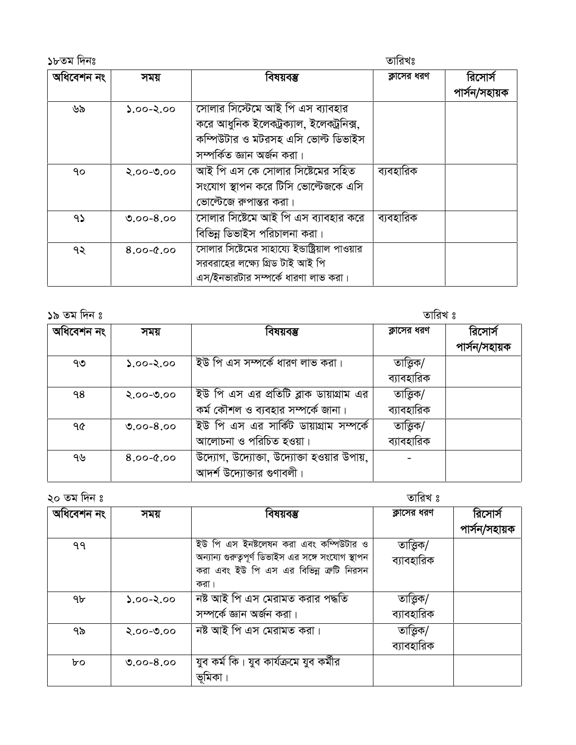১৮তম দিনঃ তারিখঃ অধিবেশন নং বিষয়বস্তু রিসোর্স ক্লাসের ধরণ সময় পাৰ্সন/সহায়ক সোলার সিস্টেমে আই পি এস ব্যাবহার ৬৯  $0.5 - 0.02$ করে আধুনিক ইলেকট্রক্যাল, ইলেকট্রনিক্স, কম্পিউটার ও মটরসহ এসি ভোল্ট ডিভাইস সম্পৰ্কিত জ্ঞান অৰ্জন করা। আই পি এস কে সোলার সিষ্টেমের সহিত ব্যবহারিক ٩o  $2.00 - 0.00$ সংযোগ স্থাপন করে টিসি ভোল্টেজকে এসি ভোল্টেজে রুপান্তর করা। <u>সোলার সিষ্টেমে আই পি এস ব্যাবহার করে</u> ব্যবহারিক  $95$  $0.00 - 8.00$ বিভিন্ন ডিভাইস পরিচালনা করা। সোলার সিষ্টেমের সাহায্যে ইন্ডাষ্ট্রিয়াল পাওয়ার  $0.9 - 0.8$ ৭২ সরবরাহের লক্ষ্যে গ্রিড টাই আই পি এস/ইনভারটার সম্পর্কে ধারণা লাভ করা।

১৯ তম দিন ঃ

তারিখ ঃ

| অধিবেশন নং | সময়          | বিষয়বম্ভ                                  | ক্লাসের ধরণ | রিসোর্স       |
|------------|---------------|--------------------------------------------|-------------|---------------|
|            |               |                                            |             | পাৰ্সন/সহায়ক |
| ৭৩         | $2.00 - 2.00$ | ইউ পি এস সম্পর্কে ধারণ লাভ করা।            | তাত্তিক/    |               |
|            |               |                                            | ব্যাবহারিক  |               |
| ۹8         | $2.00 - 0.00$ | ইউ পি এস এর প্রতিটি ব্লাক ডায়াগ্রাম এর    | তাত্তিক/    |               |
|            |               | কর্ম কৌশল ও ব্যবহার সম্পর্কে জানা।         | ব্যাবহারিক  |               |
| ዓ৫         | $0.00 - 8.00$ | ইউ পি এস এর সার্কিট ডায়াগ্রাম সম্পর্কে    | তাত্তিক/    |               |
|            |               | আলোচনা ও পরিচিত হওয়া।                     | ব্যাবহারিক  |               |
| ৭৬         | $8.00 - 0.00$ | উদ্যোগ, উদ্যোক্তা, উদ্যোক্তা হওয়ার উপায়, |             |               |
|            |               | আদর্শ উদ্যোক্তার গুণাবলী।                  |             |               |

১০ তম দিন *ং* 

তাবিখ ?

| $50 - 7 - 1$ |               |                                                    | $\sim$ וואי |               |
|--------------|---------------|----------------------------------------------------|-------------|---------------|
| অধিবেশন নং   | সময়          | বিষয়বম্ভ                                          | ক্লাসের ধরণ | রিসোর্স       |
|              |               |                                                    |             | পাৰ্সন/সহায়ক |
| ۹۹           |               | ইউ পি এস ইনষ্টলেষন করা এবং কম্পিউটার ও             | তাত্তিক/    |               |
|              |               | অন্যান্য গুরুত্বপূর্ণ ডিভাইস এর সঙ্গে সংযোগ স্থাপন | ব্যাবহারিক  |               |
|              |               | করা এবং ইউ পি এস এর বিভিন্ন ক্রটি নিরসন            |             |               |
|              |               | করা ।                                              |             |               |
| ঀ৮           | $2.00 - 2.00$ | নষ্ট আই পি এস মেরামত করার পদ্ধতি                   | তাত্ত্বিক/  |               |
|              |               | সম্পৰ্কে জ্ঞান অৰ্জন করা।                          | ব্যাবহারিক  |               |
| ৭৯           | $2.00 - 0.00$ | নষ্ট আই পি এস মেরামত করা।                          | তাত্ত্বিক/  |               |
|              |               |                                                    | ব্যাবহারিক  |               |
| bo           | $0.00 - 8.00$ | যুব কৰ্ম কি। যুব কাৰ্যক্ৰমে যুব কৰ্মীর             |             |               |
|              |               | ভূমিকা                                             |             |               |
|              |               |                                                    |             |               |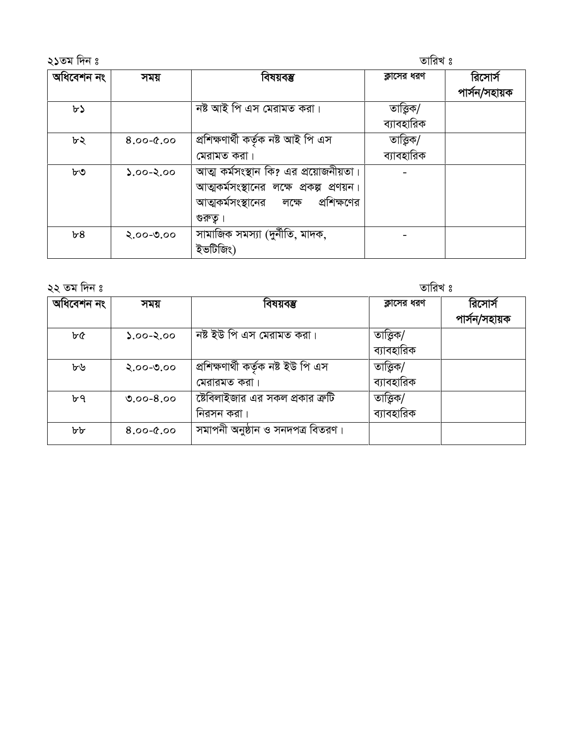| ২১তম দিন ঃ |               |                                                                                                                                     | তারিখ ঃ                |                          |
|------------|---------------|-------------------------------------------------------------------------------------------------------------------------------------|------------------------|--------------------------|
| অধিবেশন নং | সময়          | বিষয়বম্ভ                                                                                                                           | ক্লাসের ধরণ            | রিসোর্স<br>পাৰ্সন/সহায়ক |
| ৮১         |               | নষ্ট আই পি এস মেরামত করা।                                                                                                           | তাত্তিক/<br>ব্যাবহারিক |                          |
| ৮২         | $8.00 - 0.00$ | প্ৰশিক্ষণাৰ্থী কৰ্তৃক নষ্ট আই পি এস<br>মেরামত করা।                                                                                  | তাত্তিক/<br>ব্যাবহারিক |                          |
| ৮৩         | $0.90 - 2.00$ | আত্ম কর্মসংস্থান কি? এর প্রয়োজনীয়তা।<br>আত্মকর্মসংস্থানের লক্ষে প্রকল্প প্রণয়ন।<br>আত্মকর্মসংস্থানের লক্ষে প্রশিক্ষণের<br>গুরুতূ |                        |                          |
| b8         | $2.00 - 0.00$ | সামাজিক সমস্যা (দুর্নীতি, মাদক,<br>ইভটিজিং)                                                                                         |                        |                          |

| ২২ তম দিন ঃ |               |                                                     | তারিখ ঃ                  |                          |  |
|-------------|---------------|-----------------------------------------------------|--------------------------|--------------------------|--|
| অধিবেশন নং  | সময়          | বিষয়বম্ভ                                           | ক্লাসের ধরণ              | রিসোর্স<br>পাৰ্সন/সহায়ক |  |
| ৮৫          | $0.60 - 2.00$ | নষ্ট ইউ পি এস মেরামত করা।                           | তাত্ত্বিক/<br>ব্যাবহারিক |                          |  |
| ৮৬          | $2.00 - 0.00$ | প্ৰশিক্ষণাৰ্থী কৰ্তৃক নষ্ট ইউ পি এস<br>মেরারমত করা। | তাত্তিক/<br>ব্যাবহারিক   |                          |  |
| ৮৭          | $0.00 - 8.00$ | ষ্টেবিলাইজার এর সকল প্রকার ক্রটি<br>নিরসন করা।      | তাত্তিক/<br>ব্যাবহারিক   |                          |  |
| ৮৮          | $8.00 - 0.00$ | সমাপনী অনুষ্ঠান ও সনদপত্র বিতরণ।                    |                          |                          |  |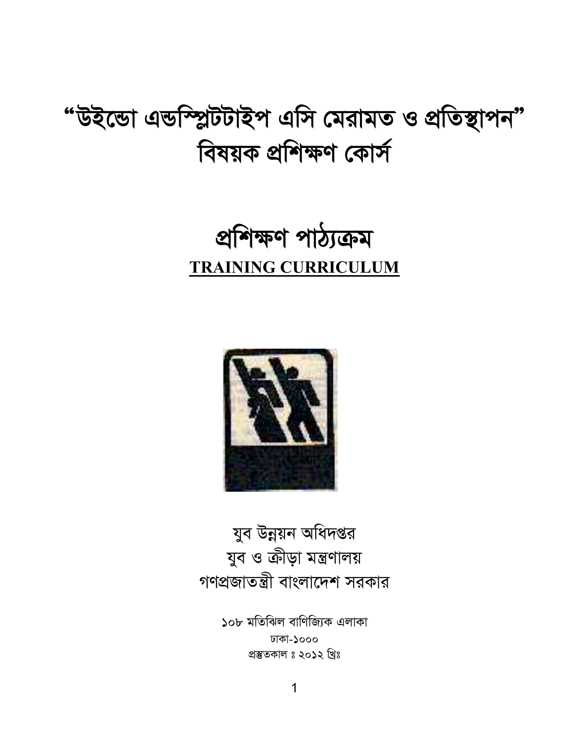যুব ও ক্রীড়া মন্ত্রণালয় গণপ্রজাতন্ত্রী বাংলাদেশ সরকার



যুব উন্নয়ন অধিদপ্তর



## প্ৰশিক্ষণ পাঠ্যক্ৰম **TRAINING CURRICULUM**

## "উইন্ডো এন্ডস্প্লিটটাইপ এসি মেরামত ও প্রতিস্থাপন" বিষয়ক প্ৰশিক্ষণ কোৰ্স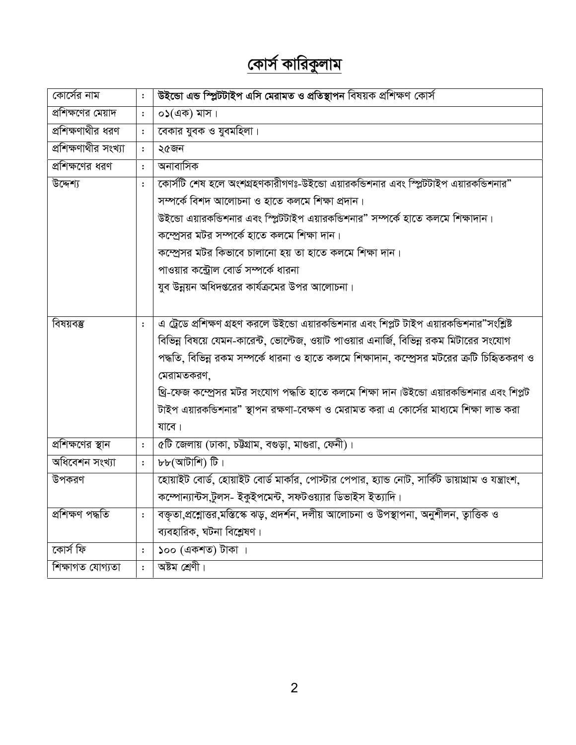## <u>কোর্স কারিকুলাম</u>

| কোর্সের নাম          | $\ddot{\cdot}$ | উইন্ডো এন্ড স্প্লিটটাইপ এসি মেরামত ও প্রতিস্থাপন বিষয়ক প্রশিক্ষণ কোর্স                           |
|----------------------|----------------|---------------------------------------------------------------------------------------------------|
| প্রশিক্ষণের মেয়াদ   | $\ddot{\cdot}$ | $\circ$ ১(এক) মাস।                                                                                |
| প্রশিক্ষণাথীর ধরণ    | $\ddot{\cdot}$ | বেকার যুবক ও যুবমহিলা।                                                                            |
| প্রশিক্ষণাথীর সংখ্যা | $\ddot{\cdot}$ | ২৫জন                                                                                              |
| প্রশিক্ষণের ধরণ      | $\ddot{\cdot}$ | অনাবাসিক                                                                                          |
| উদ্দেশ্য             | $\ddot{\cdot}$ | কোর্সটি শেষ হলে অংশগ্রহণকারীগণঃ-উইন্ডো এয়ারকন্ডিশনার এবং স্প্লিটটাইপ এয়ারকন্ডিশনার"             |
|                      |                | সম্পৰ্কে বিশদ আলোচনা ও হাতে কলমে শিক্ষা প্ৰদান।                                                   |
|                      |                | উইন্ডো এয়ারকন্ডিশনার এবং স্প্লিটটাইপ এয়ারকন্ডিশনার" সম্পর্কে হাতে কলমে শিক্ষাদান।               |
|                      |                | কম্প্রেসর মটর সম্পর্কে হাতে কলমে শিক্ষা দান।                                                      |
|                      |                | কম্প্রেসর মটর কিভাবে চালানো হয় তা হাতে কলমে শিক্ষা দান।                                          |
|                      |                | পাওয়ার কন্ট্রোল বোর্ড সম্পর্কে ধারনা                                                             |
|                      |                | যুব উন্নয়ন অধিদপ্তরের কার্যক্রমের উপর আলোচনা।                                                    |
|                      |                |                                                                                                   |
| বিষয়বম্ভ            | $\ddot{\cdot}$ | এ ট্রেডে প্রশিক্ষণ গ্রহণ করলে উইন্ডো এয়ারকভিশনার এবং শিপ্লট টাইপ এয়ারকভিশনার"সংশ্লিষ্ট          |
|                      |                | বিভিন্ন বিষয়ে যেমন-কারেন্ট, ভোল্টেজ, ওয়াট পাওয়ার এনার্জি, বিভিন্ন রকম মিটারের সংযোগ            |
|                      |                | পদ্ধতি, বিভিন্ন রকম সম্পর্কে ধারনা ও হাতে কলমে শিক্ষাদান, কম্প্রেসর মটরের ক্রটি চিহ্নিতকরণ ও      |
|                      |                | মেরামতকরণ,                                                                                        |
|                      |                | থ্রি-ফেজ কম্প্রেসর মটর সংযোগ পদ্ধতি হাতে কলমে শিক্ষা দান।উইন্ডো এয়ারকন্ডিশনার এবং শিপ্লট         |
|                      |                | টাইপ এয়ারকভিশনার" স্থাপন রক্ষণা-বেক্ষণ ও মেরামত করা এ কোর্সের মাধ্যমে শিক্ষা লাভ করা             |
|                      |                | যাবে।                                                                                             |
| প্রশিক্ষণের স্থান    | $\ddot{\cdot}$ | ৫টি জেলায় (ঢাকা, চউগ্রাম, বগুড়া, মাগুরা, ফেনী)।                                                 |
| অধিবেশন সংখ্যা       | $\ddot{\cdot}$ | $b\bar{b}$ (আটাশি) টি।                                                                            |
| উপকরণ                |                | হোয়াইট বোর্ড, হোয়াইট বোর্ড মার্কার, পোস্টার পেপার, হ্যান্ড নোট, সার্কিট ডায়াগ্রাম ও যন্ত্রাংশ, |
|                      |                | কম্পোন্যান্টস,টুলস- ইকুইপমেন্ট, সফটওয়্যার ডিভাইস ইত্যাদি।                                        |
| প্ৰশিক্ষণ পদ্ধতি     | $\ddot{\cdot}$ | বক্তৃতা,প্রশ্লোত্তর,মস্তিস্কে ঝড়, প্রদর্শন, দলীয় আলোচনা ও উপস্থাপনা, অনুশীলন, ত্বাত্তিক ও       |
|                      |                | ব্যবহারিক, ঘটনা বিশ্লেষণ।                                                                         |
| কোৰ্স ফি             | $\ddot{\cdot}$ | ১০০ (একশত) টাকা ।                                                                                 |
| শিক্ষাগত যোগ্যতা     | $\ddot{\cdot}$ | অষ্টম শ্ৰেণী।                                                                                     |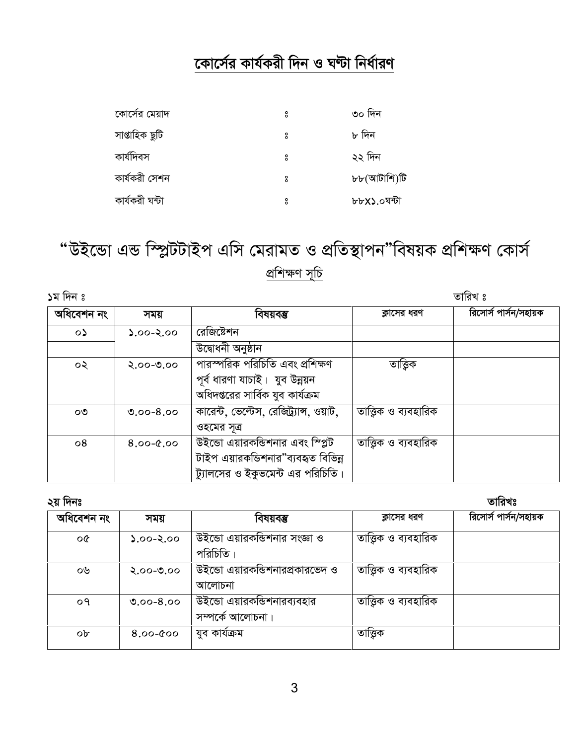#### কোর্সের কার্যকরী দিন ও ঘন্টা নির্ধারণ

| কোর্সের মেয়াদ | å | ৩০ দিন      |
|----------------|---|-------------|
| সাপ্তাহিক ছুটি | å | ৮ দিন       |
| কাৰ্যদিবস      | å | ২২ দিন      |
| কাৰ্যকরী সেশন  | ° | ৮৮(আটাশি)টি |
| কাৰ্যকরী ঘন্টা | å | ৮৮X১.০ঘন্টা |

"উইন্ডো এন্ড স্প্লিটটাইপ এসি মেরামত ও প্রতিস্থাপন"বিষয়ক প্রশিক্ষণ কোর্স প্ৰশিক্ষণ সূচি

১ম দিন ঃ

| অধিবেশন নং | সময়          | বিষয়বস্তু                              | ক্লাসের ধরণ           | রিসোর্স পার্সন/সহায়ক |
|------------|---------------|-----------------------------------------|-----------------------|-----------------------|
| $\circ$    | $0.90 - 2.00$ | রেজিষ্টেশন                              |                       |                       |
|            |               | উদ্বোধনী অনুষ্ঠান                       |                       |                       |
| ০২         | $2.00 - 0.00$ | পারস্পরিক পরিচিতি এবং প্রশিক্ষণ         | তাত্তিক               |                       |
|            |               | পূর্ব ধারণা যাচাই। যুব উন্নয়ন          |                       |                       |
|            |               | অধিদপ্তরের সার্বিক যুব কার্যক্রম        |                       |                       |
| ೦೨         | $0.00 - 8.00$ | কারেন্ট, ভেল্টেস, রেজিট্র্যাঙ্গ, ওয়াট, | তাত্ত্বিক ও ব্যবহারিক |                       |
|            |               | ওহমের সূত্র                             |                       |                       |
| $\circ 8$  | $8.00 - 0.00$ | উইন্ডো এয়ারকন্ডিশনার এবং স্প্লিট       | তাত্ত্বিক ও ব্যবহারিক |                       |
|            |               | টাইপ এয়ারকন্ডিশনার"ব্যবহৃত বিভিন্ন     |                       |                       |
|            |               | ট্যালসের ও ইকুভমেন্ট এর পরিচিতি।        |                       |                       |

তারিখঃ

তারিখ ঃ

| <b>APIIIII</b> |               |                                                  |                       | .                     |
|----------------|---------------|--------------------------------------------------|-----------------------|-----------------------|
| অধিবেশন নং     | সময়          | বিষয়বম্ভ                                        | ক্লাসের ধরণ           | রিসোর্স পার্সন/সহায়ক |
| ০৫             | $0.00 - 2.00$ | উইন্ডো এয়ারকভিশনার সংজ্ঞা ও<br>পরিচিতি।         | তাত্তিক ও ব্যবহারিক   |                       |
| ০৬             | $2.00 - 0.00$ | উইন্ডো এয়ারকভিশনারপ্রকারভেদ ও<br>আলোচনা         | তাত্ত্বিক ও ব্যবহারিক |                       |
| ०१             | $0.00 - 8.00$ | উইন্ডো এয়ারকন্ডিশনারব্যবহার<br>সম্পৰ্কে আলোচনা। | তাত্ত্বিক ও ব্যবহারিক |                       |
| ob             | $8.00 - 000$  | যুব কাৰ্যক্ৰম                                    | তাত্তিক               |                       |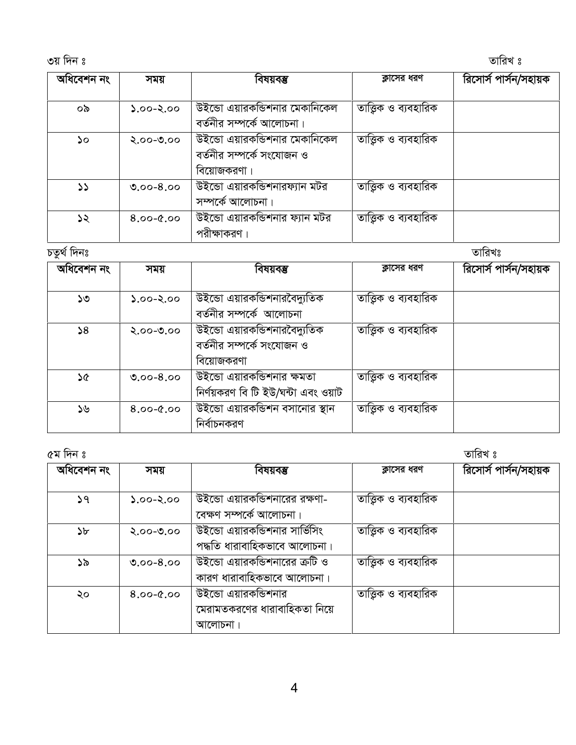3q w`b t ZvwiL t

| অধিবেশন নং    | সময়          | বিষয়বম্ভ                                                 | ক্লাসের ধরণ           | রিসোর্স পার্সন/সহায়ক |
|---------------|---------------|-----------------------------------------------------------|-----------------------|-----------------------|
| ০৯            | $2.00 - 2.00$ | উইন্ডো এয়ারকভিশনার মেকানিকেল                             | তাত্তিক ও ব্যবহারিক   |                       |
| ১০            | $2.00 - 0.00$ | বর্তনীর সম্পর্কে আলোচনা।<br>উইন্ডো এয়ারকভিশনার মেকানিকেল | তাত্ত্বিক ও ব্যবহারিক |                       |
|               |               | বর্তনীর সম্পর্কে সংযোজন ও<br>বিয়োজকরণা।                  |                       |                       |
| $\mathcal{L}$ | $0.00 - 8.00$ | উইন্ডো এয়ারকভিশনারফ্যান মটর                              | তাত্তিক ও ব্যবহারিক   |                       |
| ১২            | $8.00 - 0.00$ | সম্পৰ্কে আলোচনা।<br>উইন্ডো এয়ারকন্ডিশনার ফ্যান মটর       | তাত্তিক ও ব্যবহারিক   |                       |
|               |               | পরীক্ষাকরণ ।                                              |                       |                       |

| তারিখঃ              |                       |
|---------------------|-----------------------|
|                     | রিসোর্স পার্সন/সহায়ক |
| তাত্তিক ও ব্যবহারিক |                       |
| তাত্তিক ও ব্যবহারিক |                       |
|                     |                       |
| তাত্তিক ও ব্যবহারিক |                       |
| তাত্তিক ও ব্যবহারিক |                       |
|                     |                       |

| ৫ম দিন ঃ   |               |                                                                 |                       | তারিখ ঃ               |
|------------|---------------|-----------------------------------------------------------------|-----------------------|-----------------------|
| অধিবেশন নং | সময়          | বিষয়বম্ভ                                                       | ক্লাসের ধরণ           | রিসোর্স পার্সন/সহায়ক |
| 59         | $0.90 - 2.00$ | উইন্ডো এয়ারকন্ডিশনারের রক্ষণা-                                 | তাত্তিক ও ব্যবহারিক   |                       |
| ১৮         | $2.00 - 0.00$ | বেক্ষণ সম্পৰ্কে আলোচনা।<br>উইন্ডো এয়ারকন্ডিশনার সার্ভিসিং      | তাত্তিক ও ব্যবহারিক   |                       |
| ১৯         | $0.00 - 8.00$ | পদ্ধতি ধারাবাহিকভাবে আলোচনা।<br>উইন্ডো এয়ারকন্ডিশনারের ক্রটি ও | তাত্তিক ও ব্যবহারিক   |                       |
|            |               | কারণ ধারাবাহিকভাবে আলোচনা।                                      |                       |                       |
| ২০         | $0.9 - 0.8$   | উইন্ডো এয়ারকন্ডিশনার<br>মেরামতকরণের ধারাবাহিকতা নিয়ে          | তাত্ত্বিক ও ব্যবহারিক |                       |
|            |               | আলোচনা।                                                         |                       |                       |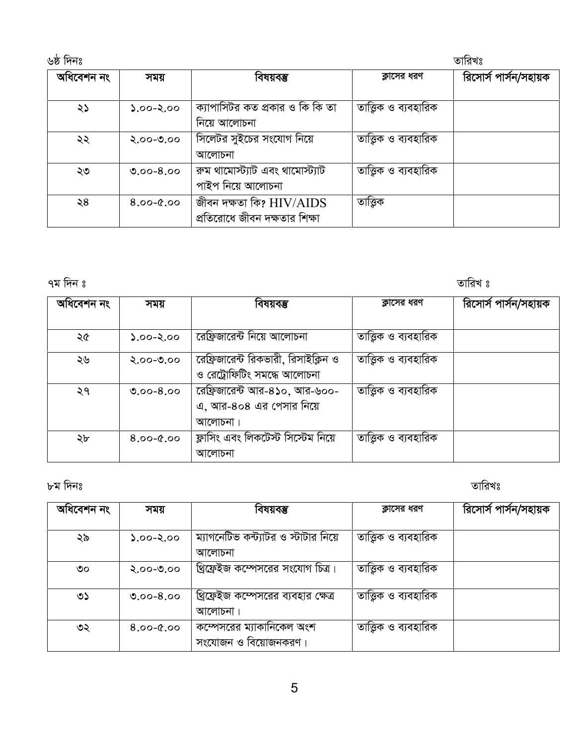| ৬ষ্ঠ দিনঃ  |               |                                                             |                       | তারিখঃ                |
|------------|---------------|-------------------------------------------------------------|-----------------------|-----------------------|
| অধিবেশন নং | সময়          | বিষয়বম্ভ                                                   | ক্লাসের ধরণ           | রিসোর্স পার্সন/সহায়ক |
| ২১         | $0.00 - 2.00$ | ক্যাপাসিটর কত প্রকার ও কি কি তা<br>নিয়ে আলোচনা             | তাত্ত্বিক ও ব্যবহারিক |                       |
| ২২         | $2.00 - 0.00$ | সিলেটর সুইচের সংযোগ নিয়ে<br>আলোচনা                         | তাত্ত্বিক ও ব্যবহারিক |                       |
| ২৩         | $0.00 - 8.00$ | রুম থামোস্ট্যাট এবং থামোস্ট্যাট<br>পাইপ নিয়ে আলোচনা        | তাত্তিক ও ব্যবহারিক   |                       |
| ২8         | $8.00 - 0.00$ | জীবন দক্ষতা কি? $HIV/AIDS$<br>প্রতিরোধে জীবন দক্ষতার শিক্ষা | তাত্ত্বিক             |                       |

তারিখ ঃ

| অধিবেশন নং | সময়          | বিষয়বম্ভ                                                          | ক্লাসের ধরণ           | রিসোর্স পার্সন/সহায়ক |
|------------|---------------|--------------------------------------------------------------------|-----------------------|-----------------------|
| ২৫         | $2.00 - 2.00$ | রেফ্রিজারেন্ট নিয়ে আলোচনা                                         | তাত্ত্বিক ও ব্যবহারিক |                       |
| ২৬         | $2.00 - 0.00$ | রেফ্রিজারেন্ট রিকভারী, রিসাইক্লিন ও<br>ও রেট্রোফিটিং সমন্ধে আলোচনা | তাত্ত্বিক ও ব্যবহারিক |                       |
| ২৭         | $0.00 - 8.00$ | রেফ্রিজারেন্ট আর-৪১০, আর-৬০০-<br>এ, আর-৪০৪ এর পেসার নিয়ে          | তাত্ত্বিক ও ব্যবহারিক |                       |
|            |               | আলোচনা।<br>ফ্লাসিং এবং লিকটেস্ট সিস্টেম নিয়ে                      |                       |                       |
| ২৮         | $8.00 - 0.00$ | আলোচনা                                                             | তাত্ত্বিক ও ব্যবহারিক |                       |

৮ম দিনঃ

তারিখঃ

| অধিবেশন নং | সময়          | বিষয়বম্ভ                            | ক্লাসের ধরণ           | রিসোর্স পার্সন/সহায়ক |
|------------|---------------|--------------------------------------|-----------------------|-----------------------|
|            |               |                                      |                       |                       |
| ২৯         | $0.90 - 2.00$ | ম্যাগনেটিভ কন্ট্যাটর ও স্টাটার নিয়ে | তাত্তিক ও ব্যবহারিক   |                       |
|            |               | আলোচনা                               |                       |                       |
| ৩০         | $2.00 - 0.00$ | খ্রিফ্রেইজ কম্পেসরের সংযোগ চিত্র।    | তাত্তিক ও ব্যবহারিক   |                       |
| ৩১         | $0.00 - 8.00$ | খ্রিফ্রেইজ কম্পেসরের ব্যবহার ক্ষেত্র | তাত্ত্বিক ও ব্যবহারিক |                       |
|            |               | আলোচনা।                              |                       |                       |
| ৩২         | $8.00 - 0.00$ | কম্পেসরের ম্যাকানিকেল অংশ            | তাত্ত্বিক ও ব্যবহারিক |                       |
|            |               | সংযোজন ও বিয়োজনকরণ।                 |                       |                       |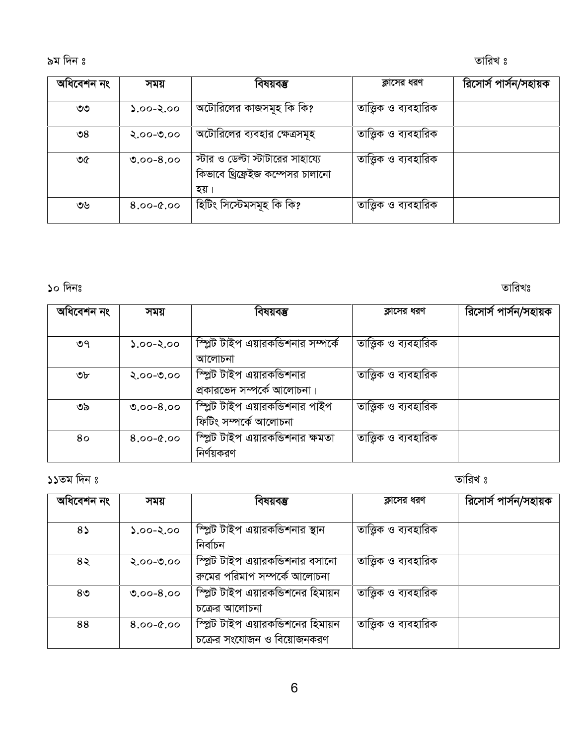| অধিবেশন নং      | সময়          | বিষয়বম্ভ                                                                     | ক্লাসের ধরণ           | রিসোর্স পার্সন/সহায়ক |
|-----------------|---------------|-------------------------------------------------------------------------------|-----------------------|-----------------------|
| ৩৩              | $0.00 - 2.00$ | অটোরিলের কাজসমূহ কি কি?                                                       | তাত্ত্বিক ও ব্যবহারিক |                       |
| $\mathcal{S}$ ల | $2.00 - 0.00$ | অটোরিলের ব্যবহার ক্ষেত্রসমূহ                                                  | তাত্ত্বিক ও ব্যবহারিক |                       |
| ৩৫              | $0.00 - 8.00$ | স্টার ও ডেল্টা স্টাটারের সাহায্যে<br>কিভাবে থ্রিফ্রেইজ কম্পেসর চালানো<br>হয়। | তাত্ত্বিক ও ব্যবহারিক |                       |
| ৩৬              | $8.00 - 0.00$ | হিটিং সিস্টেমসমূহ কি কি?                                                      | তাত্ত্বিক ও ব্যবহারিক |                       |

#### $\mathcal{S}$ ০ দিনঃ

তারিখঃ

| অধিবেশন নং | সময়          | বিষয়বম্ভ                          | ক্লাসের ধরণ           | রিসোর্স পার্সন/সহায়ক |
|------------|---------------|------------------------------------|-----------------------|-----------------------|
|            |               |                                    |                       |                       |
| ৩৭         | $0.00 - 2.00$ | স্প্লিট টাইপ এয়ারকভিশনার সম্পর্কে | তাত্তিক ও ব্যবহারিক   |                       |
|            |               | আলোচনা                             |                       |                       |
| ৩৮         | $2.00 - 0.00$ | স্প্লিট টাইপ এয়ারকভিশনার          | তাত্ত্বিক ও ব্যবহারিক |                       |
|            |               | প্রকারভেদ সম্পর্কে আলোচনা।         |                       |                       |
| ৩৯         | $0.00 - 8.00$ | স্প্লিট টাইপ এয়ারকভিশনার পাইপ     | তাত্ত্বিক ও ব্যবহারিক |                       |
|            |               | ফিটিং সম্পৰ্কে আলোচনা              |                       |                       |
| 80         | $8.00 - 0.00$ | স্প্লিট টাইপ এয়ারকন্ডিশনার ক্ষমতা | তাত্ত্বিক ও ব্যবহারিক |                       |
|            |               | নির্ণয়করণ                         |                       |                       |
|            |               |                                    |                       |                       |

১১তম দিন ঃ

তারিখ ঃ

| অধিবেশন নং     | সময়          | বিষয়বম্ভ                         | ক্লাসের ধরণ           | রিসোর্স পার্সন/সহায়ক |
|----------------|---------------|-----------------------------------|-----------------------|-----------------------|
|                |               |                                   |                       |                       |
| $8\lambda$     | $2.00 - 2.00$ | স্প্লিট টাইপ এয়ারকন্ডিশনার স্থান | তাত্ত্বিক ও ব্যবহারিক |                       |
|                |               | নিৰ্বাচন                          |                       |                       |
| $8\lambda$     | $2.00 - 0.00$ | স্প্লিট টাইপ এয়ারকন্ডিশনার বসানো | তাত্ত্বিক ও ব্যবহারিক |                       |
|                |               | রুমের পরিমাপ সম্পর্কে আলোচনা      |                       |                       |
| 8 <sub>0</sub> | $0.00 - 8.00$ | স্প্লিট টাইপ এয়ারকভিশনের হিমায়ন | তাত্ত্বিক ও ব্যবহারিক |                       |
|                |               | চক্ৰের আলোচনা                     |                       |                       |
| 88             | $8.00 - 0.00$ | স্প্লিট টাইপ এয়ারকভিশনের হিমায়ন | তাত্তিক ও ব্যবহারিক   |                       |
|                |               | চক্রের সংযোজন ও বিয়োজনকরণ        |                       |                       |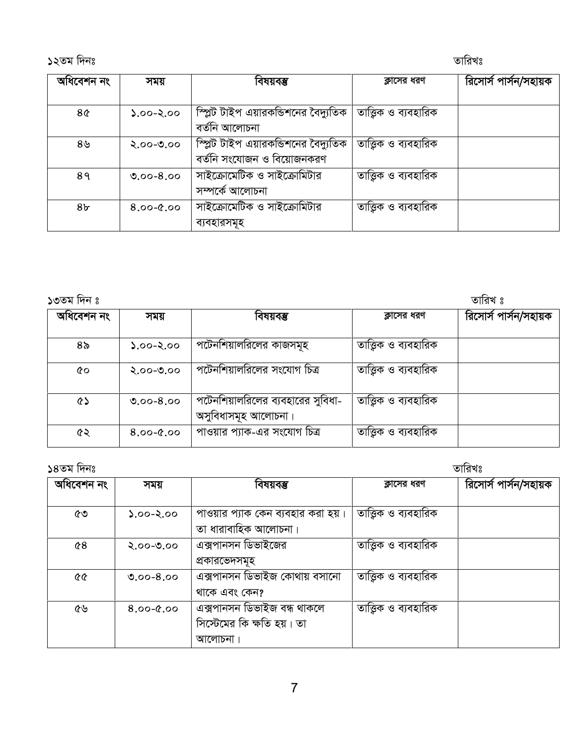১২তম দিনঃ আছিল আৰু স্থানীয় স্থানীয় স্থানীয় স্থানীয় স্থানীয় স্থানীয় স্থানীয় স্থানীয় স্থানীয় স্থানীয় স

| অধিবেশন নং     | সময়          | বিষয়বম্ভ                                                         | ক্লাসের ধরণ         | রিসোর্স পার্সন/সহায়ক |
|----------------|---------------|-------------------------------------------------------------------|---------------------|-----------------------|
| 8¢             | $0.90 - 2.00$ | স্প্লিট টাইপ এয়ারকন্ডিশনের বৈদ্যুতিক<br>বৰ্তনি আলোচনা            | তাত্তিক ও ব্যবহারিক |                       |
| ৪৬             | $2.00 - 0.00$ | স্প্লিট টাইপ এয়ারকভিশনের বৈদ্যুতিক<br>বর্তনি সংযোজন ও বিয়োজনকরণ | তাত্তিক ও ব্যবহারিক |                       |
| 89             | $0.00 - 8.00$ | সাইক্রোমেটিক ও সাইক্রোমিটার<br>সম্পৰ্কে আলোচনা                    | তাত্তিক ও ব্যবহারিক |                       |
| 8 <sub>b</sub> | $8.00 - 0.00$ | সাইক্রোমেটিক ও সাইক্রোমিটার<br>ব্যবহারসমূহ                        | তাত্তিক ও ব্যবহারিক |                       |

| ১৩তম দিন ঃ |  |
|------------|--|

| ১৩তম দিন ঃ |               |                                                          |                     | তারিখ ঃ               |
|------------|---------------|----------------------------------------------------------|---------------------|-----------------------|
| অধিবেশন নং | সময়          | বিষয়বম্ভ                                                | ক্লাসের ধরণ         | রিসোর্স পার্সন/সহায়ক |
| ৪৯         | $0.60 - 2.00$ | পটেনশিয়ালরিলের কাজসমূহ                                  | তাত্তিক ও ব্যবহারিক |                       |
| 6Q         | $2.00 - 0.00$ | পটেনশিয়ালরিলের সংযোগ চিত্র                              | তাত্তিক ও ব্যবহারিক |                       |
| ৫১         | $0.00 - 8.00$ | পটেনশিয়ালরিলের ব্যবহারের সুবিধা-<br>অসুবিধাসমূহ আলোচনা। | তাত্তিক ও ব্যবহারিক |                       |
| ৫২         | $8.00 - 0.00$ | পাওয়ার প্যাক-এর সংযোগ চিত্র                             | তাত্তিক ও ব্যবহারিক |                       |

১৪তম দিনঃ স্থানীয় স্থানীয় স্থানীয় স্থানীয় স্থানীয় স্থানীয় স্থানীয় স্থানীয় স্থানীয় স্থানীয় স্থানীয় স  $\frac{1}{2}$  সময় বিষয়বঞ্জ কাসের ধরণ রিসোর্স পার্সন∕সহায়ক  $\frac{1}{2}$   $\frac{1}{2}$   $\frac{1}{2}$   $\frac{1}{2}$   $\frac{1}{2}$   $\frac{1}{2}$   $\frac{1}{2}$   $\frac{1}{2}$   $\frac{1}{2}$   $\frac{1}{2}$   $\frac{1}{2}$   $\frac{1}{2}$   $\frac{1}{2}$   $\frac{1}{2}$   $\frac{1}{2}$   $\frac{1}{2}$   $\frac{1}{2}$   $\frac{1}{2}$   $\frac{1}{2}$   $\frac{1}{2}$   $\frac{1}{2}$   $\frac{1}{2}$ তা ধারাবাহিক আলোচনা। অত্তিক ও ব্যবহারিক  $\boxed{68}$  ২.০০-৩.০০ এক্সপানসন ডিভাইজের প্ৰকাৱভেদসমূহ অত্তিক ও ব্যবহারিক  $\overline{66}$   $\overline{6}$  ৩.০০-৪.০০  $\overline{6}$  এক্সপানসন ডিভাইজ কোথায় বসানো থাকে এবং কেন? অত্তিক ও ব্যবহারিক  $\overline{6}$ ৬  $\overline{8.00}$ - $\overline{6.00}$  এক্সপানসন ডিভাইজ বন্ধ থাকলে সিস্টেমের কি ক্ষতি হয়। তা আলোচনা। <u>তাত্ত্বিক ও ব্যবহারিক</u>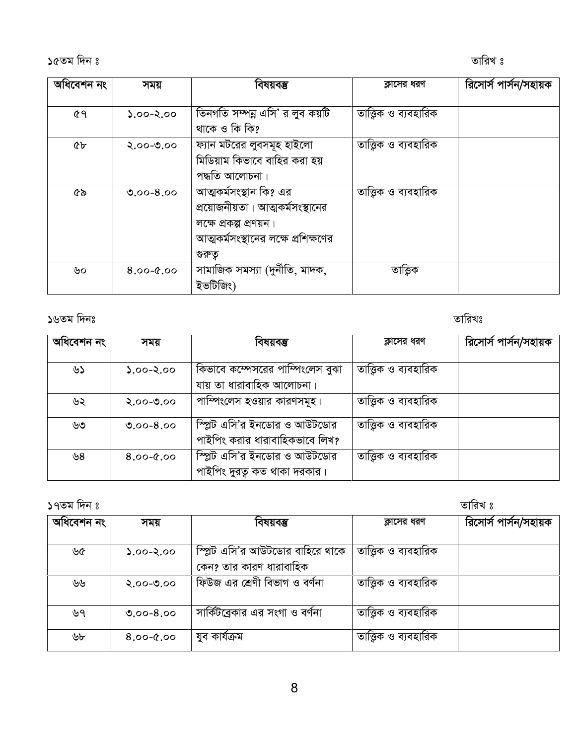১৫তম দিন ঃ $\overline{\phantom{a}}$ 

| অধিবেশন নং    | সময়          | বিষয়বম্ভ                                                     | ক্লাসের ধরণ           | রিসোর্স পার্সন/সহায়ক |
|---------------|---------------|---------------------------------------------------------------|-----------------------|-----------------------|
| ৫৭            | $0.00 - 2.00$ | তিনগতি সম্পন্ন এসি' র লুব কয়টি                               | তাত্ত্বিক ও ব্যবহারিক |                       |
| <b>&amp;p</b> | $2.00 - 0.00$ | থাকে ও কি কি?<br>ফ্যান মটরের লুবসমূহ হাইলো                    | তাত্ত্বিক ও ব্যবহারিক |                       |
|               |               | মিডিয়াম কিভাবে বাহির করা হয়<br>পদ্ধতি আলোচনা।               |                       |                       |
| ৫৯            | $0.00 - 8.00$ | আত্মকর্মসংস্থান কি? এর<br>প্রয়োজনীয়তা। আত্মকর্মসংস্থানের    | তাত্ত্বিক ও ব্যবহারিক |                       |
|               |               | লক্ষে প্রকল্প প্রণয়ন।<br>আত্মকর্মসংস্থানের লক্ষে প্রশিক্ষণের |                       |                       |
|               |               | গুরুতু                                                        |                       |                       |
| ৬০            | $8.00 - 0.00$ | সামাজিক সমস্যা (দুর্নীতি, মাদক,<br>ইভটিজিং)                   | তাত্তিক               |                       |
|               |               |                                                               |                       |                       |

১৬তম দিনঃ $\frac{1}{2}$  জাৱিখঃ

| অধিবেশন নং | সময়          | বিষয়বম্ভ                                                      | ক্লাসের ধরণ           | রিসোর্স পার্সন/সহায়ক |
|------------|---------------|----------------------------------------------------------------|-----------------------|-----------------------|
| ৬১         | $0.00 - 2.00$ | কিভাবে কস্পেসরের পাস্পিংলেস বুঝা                               | তাত্তিক ও ব্যবহারিক   |                       |
| ৬২         | $2.00 - 0.00$ | যায় তা ধারাবাহিক আলোচনা।<br>পাম্পিংলেস হওয়ার কারণসমূহ।       | তাত্তিক ও ব্যবহারিক   |                       |
| ৬৩         | $0.00 - 8.00$ | স্প্লিট এসি'র ইনডোর ও আউটডোর                                   | তাত্তিক ও ব্যবহারিক   |                       |
|            |               | পাইপিং করার ধারাবাহিকভাবে লিখ?<br>স্প্লিট এসি'র ইনডোর ও আউটডোর | তাত্ত্বিক ও ব্যবহারিক |                       |
| ৬৪         | $8.00 - 0.00$ | পাইপিং দুরত্ব কত থাকা দরকার।                                   |                       |                       |

 $17\sqrt{2}$  স্বাধীন কৰিবলৈ স্থাপন কৰিবলৈ স্থাপন কৰিবলৈ স্থাপন কৰিবলৈ স্থাপন কৰিবলৈ স্থাপন কৰিবলৈ স্থাপন কৰিবলৈ স্থাপন কৰিবলৈ স্থাপন কৰিবলৈ স্থাপন কৰিবলৈ স্থাপন কৰিবলৈ স্থাপন কৰিবলৈ স্থাপন কৰিবলৈ স্থাপন কৰিবলৈ স্থাপন কৰিবলৈ

| অধিবেশন নং | সময়          | বিষয়বম্ভ                        | ক্লাসের ধরণ           | রিসোর্স পার্সন/সহায়ক |
|------------|---------------|----------------------------------|-----------------------|-----------------------|
| ৬৫         | $0.60 - 2.00$ | স্প্লিট এসি'র আউটডোর বাহিরে থাকে | তাত্ত্বিক ও ব্যবহারিক |                       |
|            |               | কেন? তার কারণ ধারাবাহিক          |                       |                       |
| ৬৬         | $2.00 - 0.00$ | ফিউজ এর শ্রেণী বিভাগ ও বর্ণনা    | তাত্তিক ও ব্যবহারিক   |                       |
| ৬৭         | $0.00 - 8.00$ | সার্কিটব্রেকার এর সংগা ও বর্ণনা  | তাত্তিক ও ব্যবহারিক   |                       |
| ৬৮         | $8.00 - 0.00$ | যুব কাৰ্যক্ৰম                    | তাত্ত্বিক ও ব্যবহারিক |                       |
|            |               |                                  |                       |                       |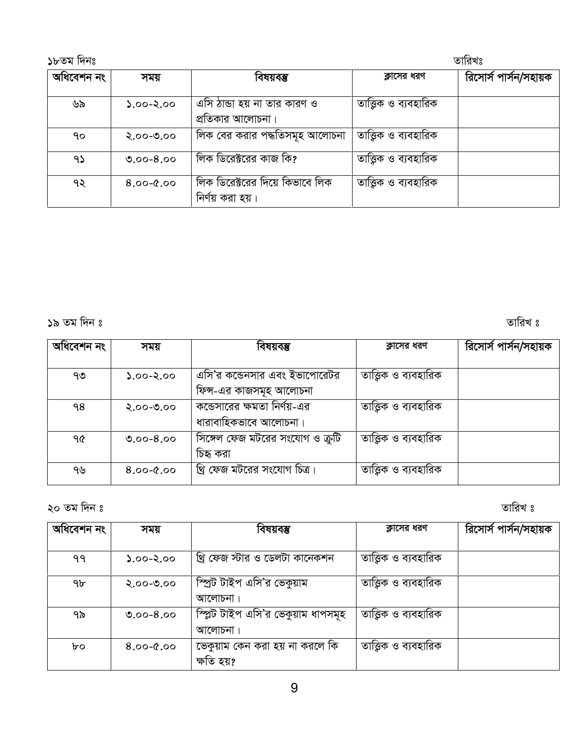| ১৮তম দিনঃ  |               |                                                     | তারিখঃ                |                       |  |
|------------|---------------|-----------------------------------------------------|-----------------------|-----------------------|--|
| অধিবেশন নং | সময়          | বিষয়বম্ভ                                           | ক্লাসের ধরণ           | রিসোর্স পার্সন/সহায়ক |  |
| ৬৯         | $0.90 - 2.00$ | এসি ঠান্ডা হয় না তার কারণ ও<br>প্রতিকার আলোচনা।    | তাত্তিক ও ব্যবহারিক   |                       |  |
| ٩o         | $2.00 - 0.00$ | লিক বের করার পদ্ধতিসমূহ আলোচনা                      | তাত্তিক ও ব্যবহারিক   |                       |  |
| 95         | $0.00 - 8.00$ | লিক ডিরেক্টরের কাজ কি?                              | তাত্তিক ও ব্যবহারিক   |                       |  |
| ৭২         | $8.00 - 0.00$ | লিক ডিরেক্টরের দিয়ে কিভাবে লিক<br>নির্ণয় করা হয়। | তাত্ত্বিক ও ব্যবহারিক |                       |  |

19 Zg w`b t ZvwiL t

| অধিবেশন নং | সময়          | বিষয়বম্ভ                                                | ক্লাসের ধরণ           | রিসোর্স পার্সন/সহায়ক |
|------------|---------------|----------------------------------------------------------|-----------------------|-----------------------|
| ৭৩         | $0.60 - 2.00$ | এসি'র কন্ডেনসার এবং ইভাপোরেটর<br>ফিন্স-এর কাজসমূহ আলোচনা | তাত্ত্বিক ও ব্যবহারিক |                       |
| ۹8         | $2.00 - 0.00$ | কন্ডেসারের ক্ষমতা নির্ণয়-এর<br>ধারাবাহিকভাবে আলোচনা।    | তাত্ত্বিক ও ব্যবহারিক |                       |
| ዓ৫         | $0.00 - 8.00$ | সিঙ্গেল ফেজ মটরের সংযোগ ও ক্রুটি<br>চিহ্ব করা            | তাত্ত্বিক ও ব্যবহারিক |                       |
| ৭৬         | $8.00 - 0.00$ | খ্রি ফেজ মটরের সংযোগ চিত্র।                              | তাত্ত্বিক ও ব্যবহারিক |                       |

20 Zg w`b t ZvwiL t

| অধিবেশন নং | সময়          | বিষয়বম্ভ                                      | ক্লাসের ধরণ           | রিসোর্স পার্সন/সহায়ক |
|------------|---------------|------------------------------------------------|-----------------------|-----------------------|
| ۹۹         | $0.60 - 2.00$ | খ্রি ফেজ স্টার ও ডেলটা কানেকশন                 | তাত্ত্বিক ও ব্যবহারিক |                       |
| 9b         | $2.00 - 0.00$ | স্প্রিট টাইপ এসি'র ভেকুয়াম                    | তাত্তিক ও ব্যবহারিক   |                       |
| ৭৯         | $0.00 - 8.00$ | আলোচনা।<br>স্প্লিট টাইপ এসি'র ভেকুয়াম ধাপসমূহ | তাত্তিক ও ব্যবহারিক   |                       |
|            |               | আলোচনা।                                        |                       |                       |
| bo         | $8.00 - 0.00$ | ভেকুয়াম কেন করা হয় না করলে কি                | তাত্তিক ও ব্যবহারিক   |                       |
|            |               | ক্ষতি হয়?                                     |                       |                       |